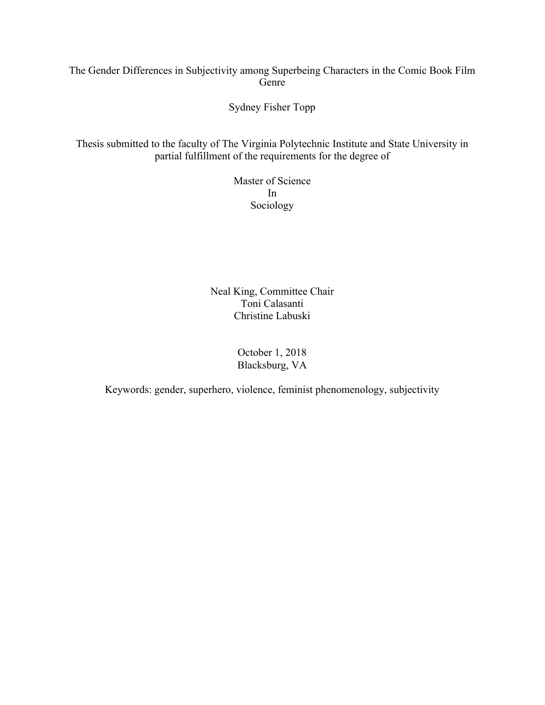## The Gender Differences in Subjectivity among Superbeing Characters in the Comic Book Film Genre

Sydney Fisher Topp

Thesis submitted to the faculty of The Virginia Polytechnic Institute and State University in partial fulfillment of the requirements for the degree of

> Master of Science In Sociology

Neal King, Committee Chair Toni Calasanti Christine Labuski

> October 1, 2018 Blacksburg, VA

Keywords: gender, superhero, violence, feminist phenomenology, subjectivity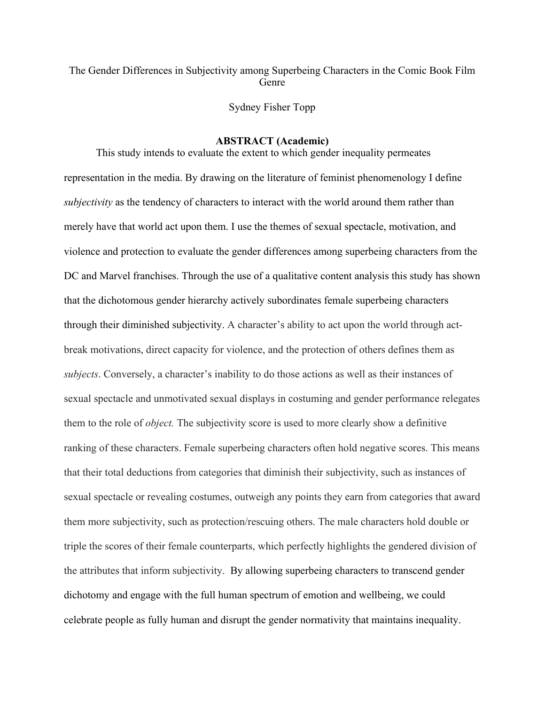## The Gender Differences in Subjectivity among Superbeing Characters in the Comic Book Film Genre

Sydney Fisher Topp

#### **ABSTRACT (Academic)**

This study intends to evaluate the extent to which gender inequality permeates representation in the media. By drawing on the literature of feminist phenomenology I define *subjectivity* as the tendency of characters to interact with the world around them rather than merely have that world act upon them. I use the themes of sexual spectacle, motivation, and violence and protection to evaluate the gender differences among superbeing characters from the DC and Marvel franchises. Through the use of a qualitative content analysis this study has shown that the dichotomous gender hierarchy actively subordinates female superbeing characters through their diminished subjectivity. A character's ability to act upon the world through actbreak motivations, direct capacity for violence, and the protection of others defines them as *subjects*. Conversely, a character's inability to do those actions as well as their instances of sexual spectacle and unmotivated sexual displays in costuming and gender performance relegates them to the role of *object.* The subjectivity score is used to more clearly show a definitive ranking of these characters. Female superbeing characters often hold negative scores. This means that their total deductions from categories that diminish their subjectivity, such as instances of sexual spectacle or revealing costumes, outweigh any points they earn from categories that award them more subjectivity, such as protection/rescuing others. The male characters hold double or triple the scores of their female counterparts, which perfectly highlights the gendered division of the attributes that inform subjectivity. By allowing superbeing characters to transcend gender dichotomy and engage with the full human spectrum of emotion and wellbeing, we could celebrate people as fully human and disrupt the gender normativity that maintains inequality.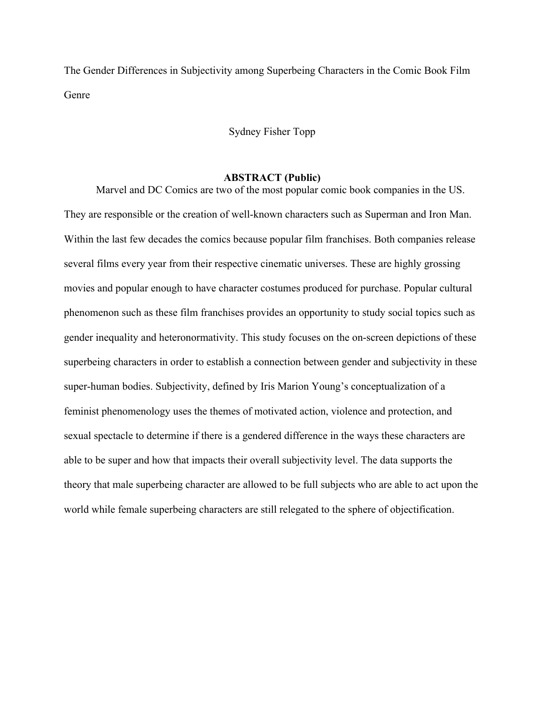The Gender Differences in Subjectivity among Superbeing Characters in the Comic Book Film Genre

## Sydney Fisher Topp

## **ABSTRACT (Public)**

Marvel and DC Comics are two of the most popular comic book companies in the US. They are responsible or the creation of well-known characters such as Superman and Iron Man. Within the last few decades the comics because popular film franchises. Both companies release several films every year from their respective cinematic universes. These are highly grossing movies and popular enough to have character costumes produced for purchase. Popular cultural phenomenon such as these film franchises provides an opportunity to study social topics such as gender inequality and heteronormativity. This study focuses on the on-screen depictions of these superbeing characters in order to establish a connection between gender and subjectivity in these super-human bodies. Subjectivity, defined by Iris Marion Young's conceptualization of a feminist phenomenology uses the themes of motivated action, violence and protection, and sexual spectacle to determine if there is a gendered difference in the ways these characters are able to be super and how that impacts their overall subjectivity level. The data supports the theory that male superbeing character are allowed to be full subjects who are able to act upon the world while female superbeing characters are still relegated to the sphere of objectification.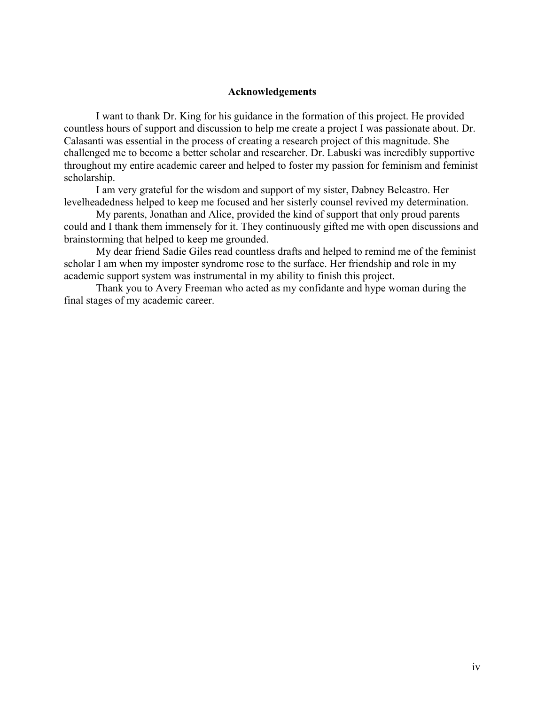### **Acknowledgements**

I want to thank Dr. King for his guidance in the formation of this project. He provided countless hours of support and discussion to help me create a project I was passionate about. Dr. Calasanti was essential in the process of creating a research project of this magnitude. She challenged me to become a better scholar and researcher. Dr. Labuski was incredibly supportive throughout my entire academic career and helped to foster my passion for feminism and feminist scholarship.

I am very grateful for the wisdom and support of my sister, Dabney Belcastro. Her levelheadedness helped to keep me focused and her sisterly counsel revived my determination.

My parents, Jonathan and Alice, provided the kind of support that only proud parents could and I thank them immensely for it. They continuously gifted me with open discussions and brainstorming that helped to keep me grounded.

My dear friend Sadie Giles read countless drafts and helped to remind me of the feminist scholar I am when my imposter syndrome rose to the surface. Her friendship and role in my academic support system was instrumental in my ability to finish this project.

Thank you to Avery Freeman who acted as my confidante and hype woman during the final stages of my academic career.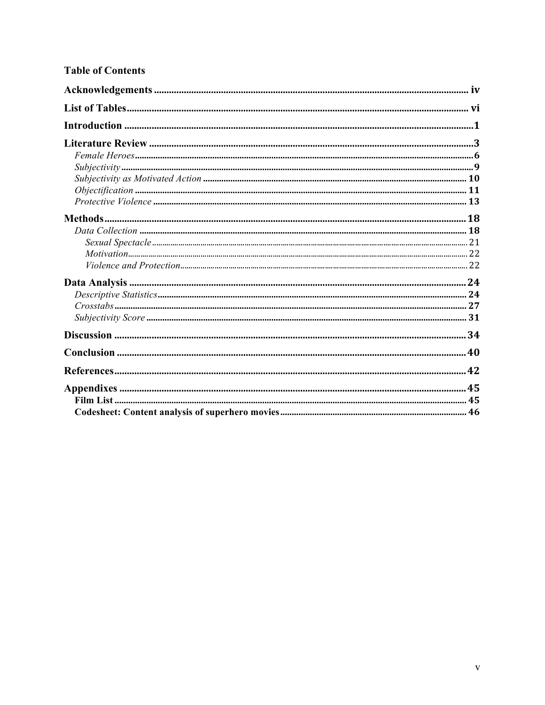# **Table of Contents**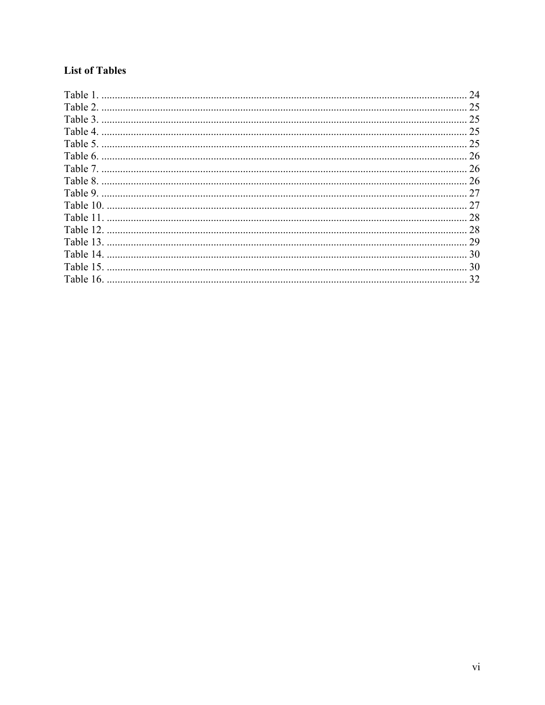# **List of Tables**

|           | 24 |
|-----------|----|
| Table 2.  | 25 |
| Table 3.  | 25 |
| Table 4.  | 25 |
| Table 5.  | 25 |
|           | 26 |
|           | 26 |
| Table 8.  | 26 |
|           | 27 |
|           | 27 |
| Table 11  | 28 |
| Table 12. | 28 |
| Table 13. | 29 |
| Table 14. | 30 |
| Table 15. | 30 |
|           | 32 |
|           |    |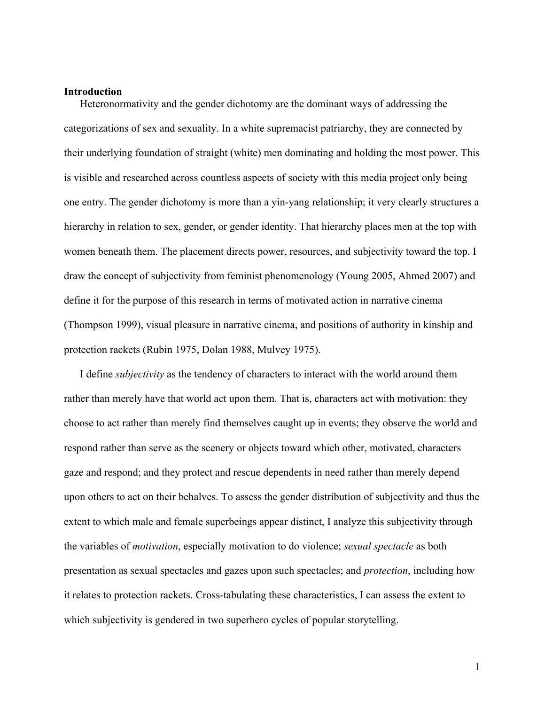#### **Introduction**

Heteronormativity and the gender dichotomy are the dominant ways of addressing the categorizations of sex and sexuality. In a white supremacist patriarchy, they are connected by their underlying foundation of straight (white) men dominating and holding the most power. This is visible and researched across countless aspects of society with this media project only being one entry. The gender dichotomy is more than a yin-yang relationship; it very clearly structures a hierarchy in relation to sex, gender, or gender identity. That hierarchy places men at the top with women beneath them. The placement directs power, resources, and subjectivity toward the top. I draw the concept of subjectivity from feminist phenomenology (Young 2005, Ahmed 2007) and define it for the purpose of this research in terms of motivated action in narrative cinema (Thompson 1999), visual pleasure in narrative cinema, and positions of authority in kinship and protection rackets (Rubin 1975, Dolan 1988, Mulvey 1975).

I define *subjectivity* as the tendency of characters to interact with the world around them rather than merely have that world act upon them. That is, characters act with motivation: they choose to act rather than merely find themselves caught up in events; they observe the world and respond rather than serve as the scenery or objects toward which other, motivated, characters gaze and respond; and they protect and rescue dependents in need rather than merely depend upon others to act on their behalves. To assess the gender distribution of subjectivity and thus the extent to which male and female superbeings appear distinct, I analyze this subjectivity through the variables of *motivation*, especially motivation to do violence; *sexual spectacle* as both presentation as sexual spectacles and gazes upon such spectacles; and *protection*, including how it relates to protection rackets. Cross-tabulating these characteristics, I can assess the extent to which subjectivity is gendered in two superhero cycles of popular storytelling.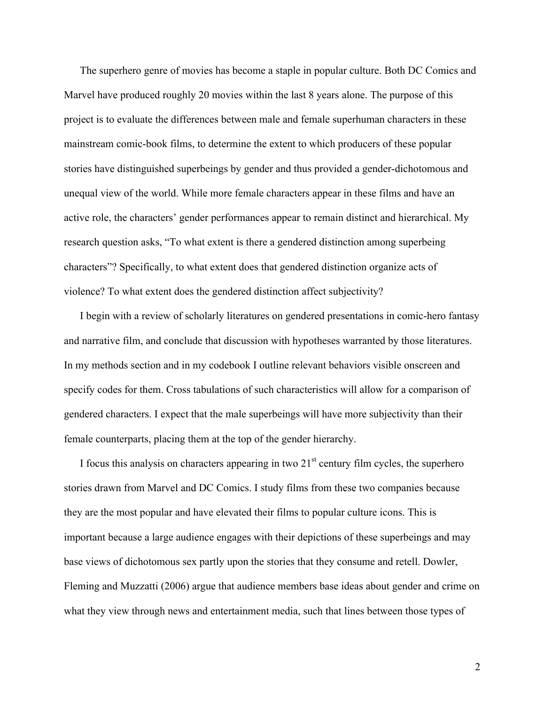The superhero genre of movies has become a staple in popular culture. Both DC Comics and Marvel have produced roughly 20 movies within the last 8 years alone. The purpose of this project is to evaluate the differences between male and female superhuman characters in these mainstream comic-book films, to determine the extent to which producers of these popular stories have distinguished superbeings by gender and thus provided a gender-dichotomous and unequal view of the world. While more female characters appear in these films and have an active role, the characters' gender performances appear to remain distinct and hierarchical. My research question asks, "To what extent is there a gendered distinction among superbeing characters"? Specifically, to what extent does that gendered distinction organize acts of violence? To what extent does the gendered distinction affect subjectivity?

I begin with a review of scholarly literatures on gendered presentations in comic-hero fantasy and narrative film, and conclude that discussion with hypotheses warranted by those literatures. In my methods section and in my codebook I outline relevant behaviors visible onscreen and specify codes for them. Cross tabulations of such characteristics will allow for a comparison of gendered characters. I expect that the male superbeings will have more subjectivity than their female counterparts, placing them at the top of the gender hierarchy.

I focus this analysis on characters appearing in two  $21<sup>st</sup>$  century film cycles, the superhero stories drawn from Marvel and DC Comics. I study films from these two companies because they are the most popular and have elevated their films to popular culture icons. This is important because a large audience engages with their depictions of these superbeings and may base views of dichotomous sex partly upon the stories that they consume and retell. Dowler, Fleming and Muzzatti (2006) argue that audience members base ideas about gender and crime on what they view through news and entertainment media, such that lines between those types of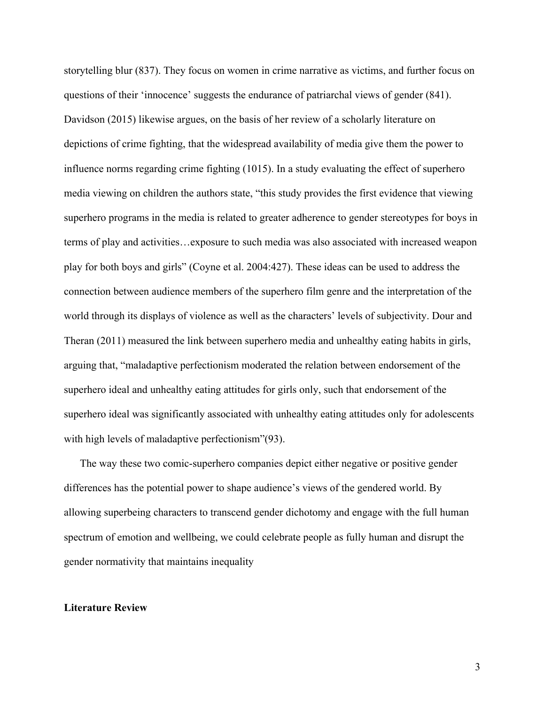storytelling blur (837). They focus on women in crime narrative as victims, and further focus on questions of their 'innocence' suggests the endurance of patriarchal views of gender (841). Davidson (2015) likewise argues, on the basis of her review of a scholarly literature on depictions of crime fighting, that the widespread availability of media give them the power to influence norms regarding crime fighting (1015). In a study evaluating the effect of superhero media viewing on children the authors state, "this study provides the first evidence that viewing superhero programs in the media is related to greater adherence to gender stereotypes for boys in terms of play and activities…exposure to such media was also associated with increased weapon play for both boys and girls" (Coyne et al. 2004:427). These ideas can be used to address the connection between audience members of the superhero film genre and the interpretation of the world through its displays of violence as well as the characters' levels of subjectivity. Dour and Theran (2011) measured the link between superhero media and unhealthy eating habits in girls, arguing that, "maladaptive perfectionism moderated the relation between endorsement of the superhero ideal and unhealthy eating attitudes for girls only, such that endorsement of the superhero ideal was significantly associated with unhealthy eating attitudes only for adolescents with high levels of maladaptive perfectionism" (93).

The way these two comic-superhero companies depict either negative or positive gender differences has the potential power to shape audience's views of the gendered world. By allowing superbeing characters to transcend gender dichotomy and engage with the full human spectrum of emotion and wellbeing, we could celebrate people as fully human and disrupt the gender normativity that maintains inequality

## **Literature Review**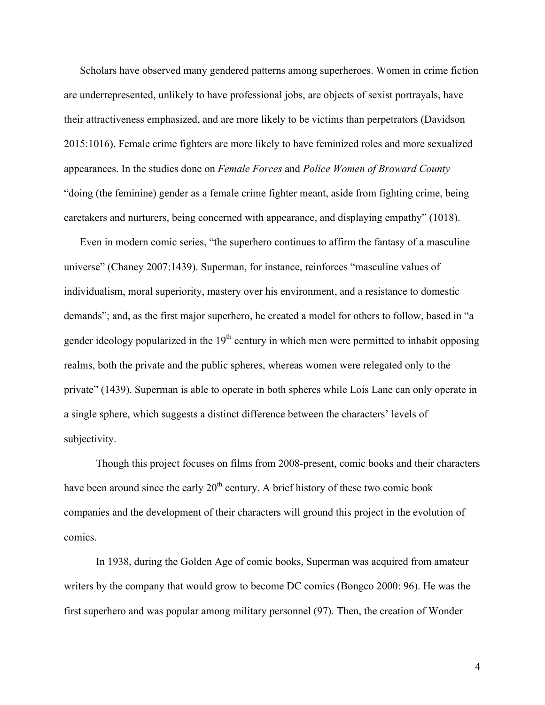Scholars have observed many gendered patterns among superheroes. Women in crime fiction are underrepresented, unlikely to have professional jobs, are objects of sexist portrayals, have their attractiveness emphasized, and are more likely to be victims than perpetrators (Davidson 2015:1016). Female crime fighters are more likely to have feminized roles and more sexualized appearances. In the studies done on *Female Forces* and *Police Women of Broward County* "doing (the feminine) gender as a female crime fighter meant, aside from fighting crime, being caretakers and nurturers, being concerned with appearance, and displaying empathy" (1018).

Even in modern comic series, "the superhero continues to affirm the fantasy of a masculine universe" (Chaney 2007:1439). Superman, for instance, reinforces "masculine values of individualism, moral superiority, mastery over his environment, and a resistance to domestic demands"; and, as the first major superhero, he created a model for others to follow, based in "a gender ideology popularized in the  $19<sup>th</sup>$  century in which men were permitted to inhabit opposing realms, both the private and the public spheres, whereas women were relegated only to the private" (1439). Superman is able to operate in both spheres while Lois Lane can only operate in a single sphere, which suggests a distinct difference between the characters' levels of subjectivity.

Though this project focuses on films from 2008-present, comic books and their characters have been around since the early  $20<sup>th</sup>$  century. A brief history of these two comic book companies and the development of their characters will ground this project in the evolution of comics.

In 1938, during the Golden Age of comic books, Superman was acquired from amateur writers by the company that would grow to become DC comics (Bongco 2000: 96). He was the first superhero and was popular among military personnel (97). Then, the creation of Wonder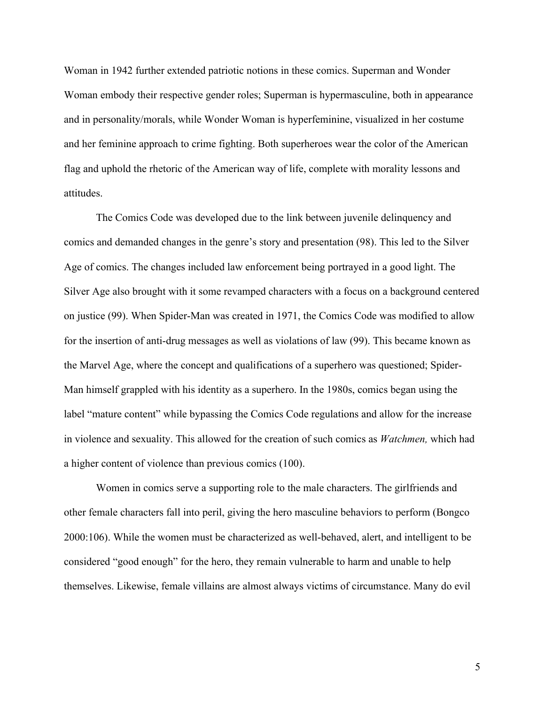Woman in 1942 further extended patriotic notions in these comics. Superman and Wonder Woman embody their respective gender roles; Superman is hypermasculine, both in appearance and in personality/morals, while Wonder Woman is hyperfeminine, visualized in her costume and her feminine approach to crime fighting. Both superheroes wear the color of the American flag and uphold the rhetoric of the American way of life, complete with morality lessons and attitudes.

The Comics Code was developed due to the link between juvenile delinquency and comics and demanded changes in the genre's story and presentation (98). This led to the Silver Age of comics. The changes included law enforcement being portrayed in a good light. The Silver Age also brought with it some revamped characters with a focus on a background centered on justice (99). When Spider-Man was created in 1971, the Comics Code was modified to allow for the insertion of anti-drug messages as well as violations of law (99). This became known as the Marvel Age, where the concept and qualifications of a superhero was questioned; Spider-Man himself grappled with his identity as a superhero. In the 1980s, comics began using the label "mature content" while bypassing the Comics Code regulations and allow for the increase in violence and sexuality. This allowed for the creation of such comics as *Watchmen,* which had a higher content of violence than previous comics (100).

Women in comics serve a supporting role to the male characters. The girlfriends and other female characters fall into peril, giving the hero masculine behaviors to perform (Bongco 2000:106). While the women must be characterized as well-behaved, alert, and intelligent to be considered "good enough" for the hero, they remain vulnerable to harm and unable to help themselves. Likewise, female villains are almost always victims of circumstance. Many do evil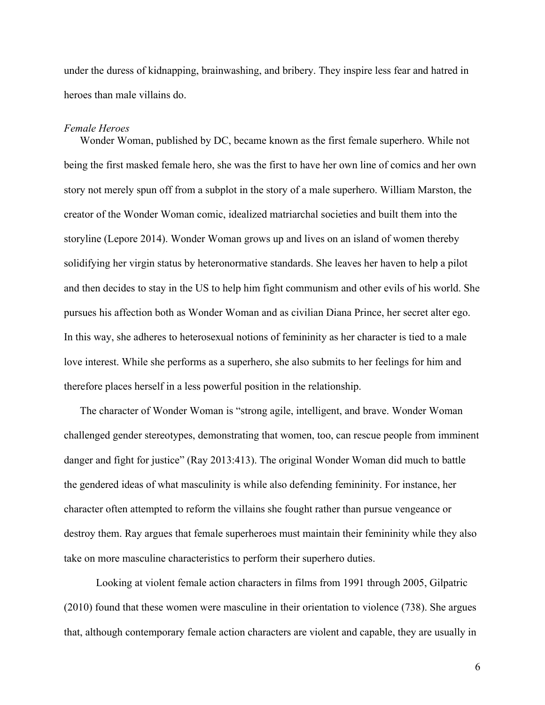under the duress of kidnapping, brainwashing, and bribery. They inspire less fear and hatred in heroes than male villains do.

### *Female Heroes*

Wonder Woman, published by DC, became known as the first female superhero. While not being the first masked female hero, she was the first to have her own line of comics and her own story not merely spun off from a subplot in the story of a male superhero. William Marston, the creator of the Wonder Woman comic, idealized matriarchal societies and built them into the storyline (Lepore 2014). Wonder Woman grows up and lives on an island of women thereby solidifying her virgin status by heteronormative standards. She leaves her haven to help a pilot and then decides to stay in the US to help him fight communism and other evils of his world. She pursues his affection both as Wonder Woman and as civilian Diana Prince, her secret alter ego. In this way, she adheres to heterosexual notions of femininity as her character is tied to a male love interest. While she performs as a superhero, she also submits to her feelings for him and therefore places herself in a less powerful position in the relationship.

The character of Wonder Woman is "strong agile, intelligent, and brave. Wonder Woman challenged gender stereotypes, demonstrating that women, too, can rescue people from imminent danger and fight for justice" (Ray 2013:413). The original Wonder Woman did much to battle the gendered ideas of what masculinity is while also defending femininity. For instance, her character often attempted to reform the villains she fought rather than pursue vengeance or destroy them. Ray argues that female superheroes must maintain their femininity while they also take on more masculine characteristics to perform their superhero duties.

Looking at violent female action characters in films from 1991 through 2005, Gilpatric (2010) found that these women were masculine in their orientation to violence (738). She argues that, although contemporary female action characters are violent and capable, they are usually in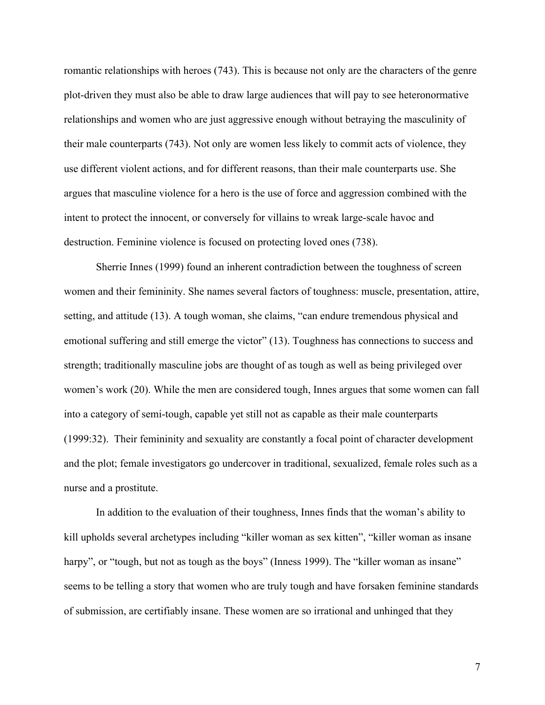romantic relationships with heroes (743). This is because not only are the characters of the genre plot-driven they must also be able to draw large audiences that will pay to see heteronormative relationships and women who are just aggressive enough without betraying the masculinity of their male counterparts (743). Not only are women less likely to commit acts of violence, they use different violent actions, and for different reasons, than their male counterparts use. She argues that masculine violence for a hero is the use of force and aggression combined with the intent to protect the innocent, or conversely for villains to wreak large-scale havoc and destruction. Feminine violence is focused on protecting loved ones (738).

Sherrie Innes (1999) found an inherent contradiction between the toughness of screen women and their femininity. She names several factors of toughness: muscle, presentation, attire, setting, and attitude (13). A tough woman, she claims, "can endure tremendous physical and emotional suffering and still emerge the victor" (13). Toughness has connections to success and strength; traditionally masculine jobs are thought of as tough as well as being privileged over women's work (20). While the men are considered tough, Innes argues that some women can fall into a category of semi-tough, capable yet still not as capable as their male counterparts (1999:32). Their femininity and sexuality are constantly a focal point of character development and the plot; female investigators go undercover in traditional, sexualized, female roles such as a nurse and a prostitute.

In addition to the evaluation of their toughness, Innes finds that the woman's ability to kill upholds several archetypes including "killer woman as sex kitten", "killer woman as insane harpy", or "tough, but not as tough as the boys" (Inness 1999). The "killer woman as insane" seems to be telling a story that women who are truly tough and have forsaken feminine standards of submission, are certifiably insane. These women are so irrational and unhinged that they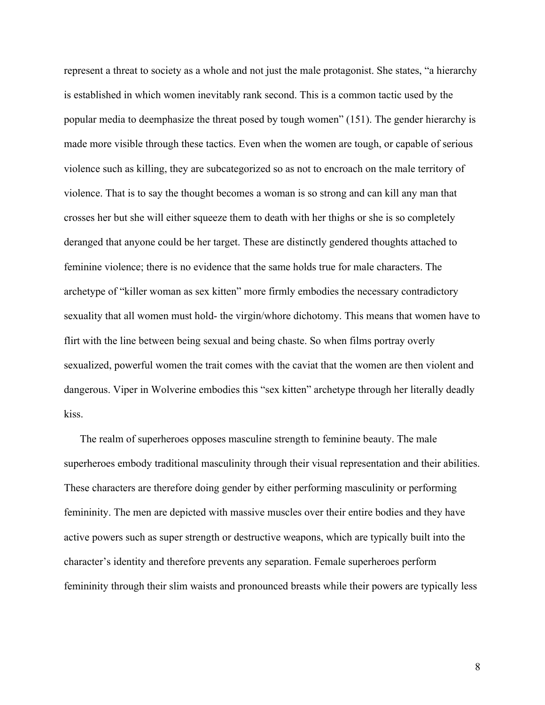represent a threat to society as a whole and not just the male protagonist. She states, "a hierarchy is established in which women inevitably rank second. This is a common tactic used by the popular media to deemphasize the threat posed by tough women" (151). The gender hierarchy is made more visible through these tactics. Even when the women are tough, or capable of serious violence such as killing, they are subcategorized so as not to encroach on the male territory of violence. That is to say the thought becomes a woman is so strong and can kill any man that crosses her but she will either squeeze them to death with her thighs or she is so completely deranged that anyone could be her target. These are distinctly gendered thoughts attached to feminine violence; there is no evidence that the same holds true for male characters. The archetype of "killer woman as sex kitten" more firmly embodies the necessary contradictory sexuality that all women must hold- the virgin/whore dichotomy. This means that women have to flirt with the line between being sexual and being chaste. So when films portray overly sexualized, powerful women the trait comes with the caviat that the women are then violent and dangerous. Viper in Wolverine embodies this "sex kitten" archetype through her literally deadly kiss.

The realm of superheroes opposes masculine strength to feminine beauty. The male superheroes embody traditional masculinity through their visual representation and their abilities. These characters are therefore doing gender by either performing masculinity or performing femininity. The men are depicted with massive muscles over their entire bodies and they have active powers such as super strength or destructive weapons, which are typically built into the character's identity and therefore prevents any separation. Female superheroes perform femininity through their slim waists and pronounced breasts while their powers are typically less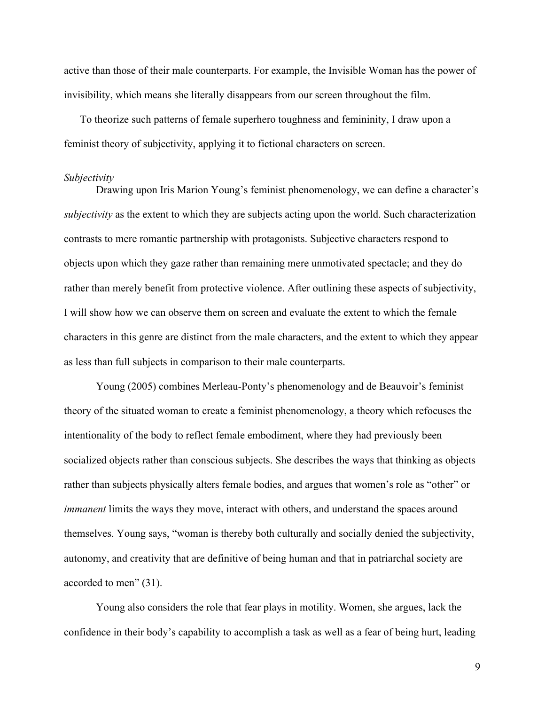active than those of their male counterparts. For example, the Invisible Woman has the power of invisibility, which means she literally disappears from our screen throughout the film.

To theorize such patterns of female superhero toughness and femininity, I draw upon a feminist theory of subjectivity, applying it to fictional characters on screen.

#### *Subjectivity*

Drawing upon Iris Marion Young's feminist phenomenology, we can define a character's *subjectivity* as the extent to which they are subjects acting upon the world. Such characterization contrasts to mere romantic partnership with protagonists. Subjective characters respond to objects upon which they gaze rather than remaining mere unmotivated spectacle; and they do rather than merely benefit from protective violence. After outlining these aspects of subjectivity, I will show how we can observe them on screen and evaluate the extent to which the female characters in this genre are distinct from the male characters, and the extent to which they appear as less than full subjects in comparison to their male counterparts.

Young (2005) combines Merleau-Ponty's phenomenology and de Beauvoir's feminist theory of the situated woman to create a feminist phenomenology, a theory which refocuses the intentionality of the body to reflect female embodiment, where they had previously been socialized objects rather than conscious subjects. She describes the ways that thinking as objects rather than subjects physically alters female bodies, and argues that women's role as "other" or *immanent* limits the ways they move, interact with others, and understand the spaces around themselves. Young says, "woman is thereby both culturally and socially denied the subjectivity, autonomy, and creativity that are definitive of being human and that in patriarchal society are accorded to men" (31).

Young also considers the role that fear plays in motility. Women, she argues, lack the confidence in their body's capability to accomplish a task as well as a fear of being hurt, leading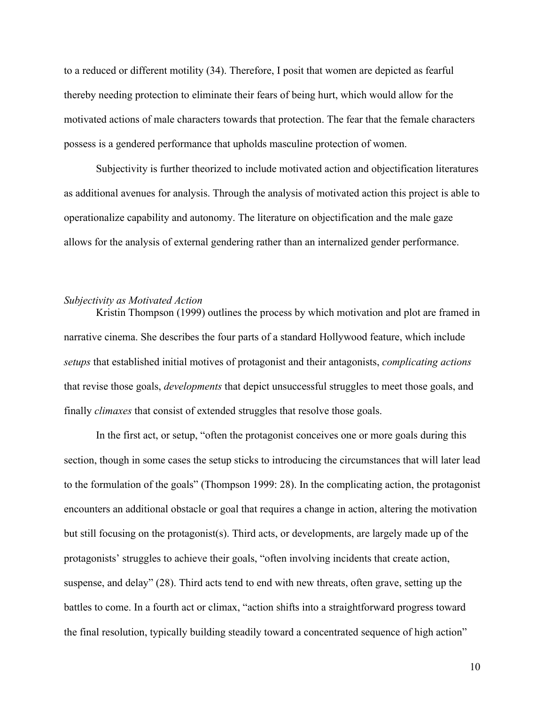to a reduced or different motility (34). Therefore, I posit that women are depicted as fearful thereby needing protection to eliminate their fears of being hurt, which would allow for the motivated actions of male characters towards that protection. The fear that the female characters possess is a gendered performance that upholds masculine protection of women.

Subjectivity is further theorized to include motivated action and objectification literatures as additional avenues for analysis. Through the analysis of motivated action this project is able to operationalize capability and autonomy. The literature on objectification and the male gaze allows for the analysis of external gendering rather than an internalized gender performance.

#### *Subjectivity as Motivated Action*

Kristin Thompson (1999) outlines the process by which motivation and plot are framed in narrative cinema. She describes the four parts of a standard Hollywood feature, which include *setups* that established initial motives of protagonist and their antagonists, *complicating actions* that revise those goals, *developments* that depict unsuccessful struggles to meet those goals, and finally *climaxes* that consist of extended struggles that resolve those goals.

In the first act, or setup, "often the protagonist conceives one or more goals during this section, though in some cases the setup sticks to introducing the circumstances that will later lead to the formulation of the goals" (Thompson 1999: 28). In the complicating action, the protagonist encounters an additional obstacle or goal that requires a change in action, altering the motivation but still focusing on the protagonist(s). Third acts, or developments, are largely made up of the protagonists' struggles to achieve their goals, "often involving incidents that create action, suspense, and delay" (28). Third acts tend to end with new threats, often grave, setting up the battles to come. In a fourth act or climax, "action shifts into a straightforward progress toward the final resolution, typically building steadily toward a concentrated sequence of high action"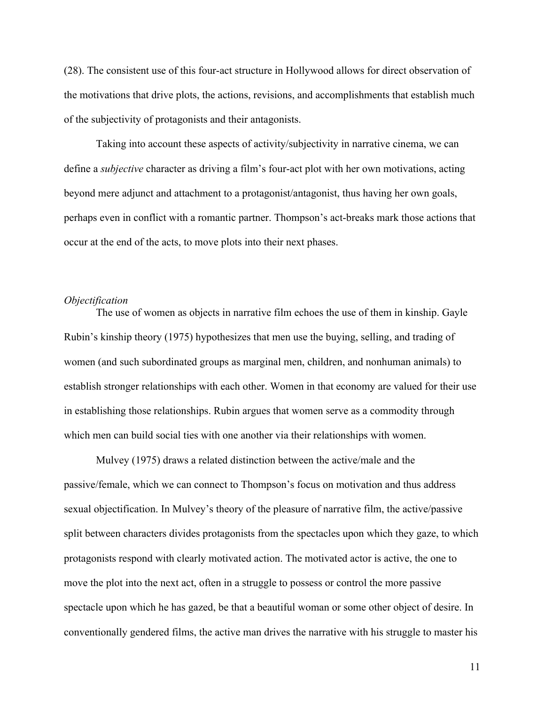(28). The consistent use of this four-act structure in Hollywood allows for direct observation of the motivations that drive plots, the actions, revisions, and accomplishments that establish much of the subjectivity of protagonists and their antagonists.

Taking into account these aspects of activity/subjectivity in narrative cinema, we can define a *subjective* character as driving a film's four-act plot with her own motivations, acting beyond mere adjunct and attachment to a protagonist/antagonist, thus having her own goals, perhaps even in conflict with a romantic partner. Thompson's act-breaks mark those actions that occur at the end of the acts, to move plots into their next phases.

#### *Objectification*

The use of women as objects in narrative film echoes the use of them in kinship. Gayle Rubin's kinship theory (1975) hypothesizes that men use the buying, selling, and trading of women (and such subordinated groups as marginal men, children, and nonhuman animals) to establish stronger relationships with each other. Women in that economy are valued for their use in establishing those relationships. Rubin argues that women serve as a commodity through which men can build social ties with one another via their relationships with women.

Mulvey (1975) draws a related distinction between the active/male and the passive/female, which we can connect to Thompson's focus on motivation and thus address sexual objectification. In Mulvey's theory of the pleasure of narrative film, the active/passive split between characters divides protagonists from the spectacles upon which they gaze, to which protagonists respond with clearly motivated action. The motivated actor is active, the one to move the plot into the next act, often in a struggle to possess or control the more passive spectacle upon which he has gazed, be that a beautiful woman or some other object of desire. In conventionally gendered films, the active man drives the narrative with his struggle to master his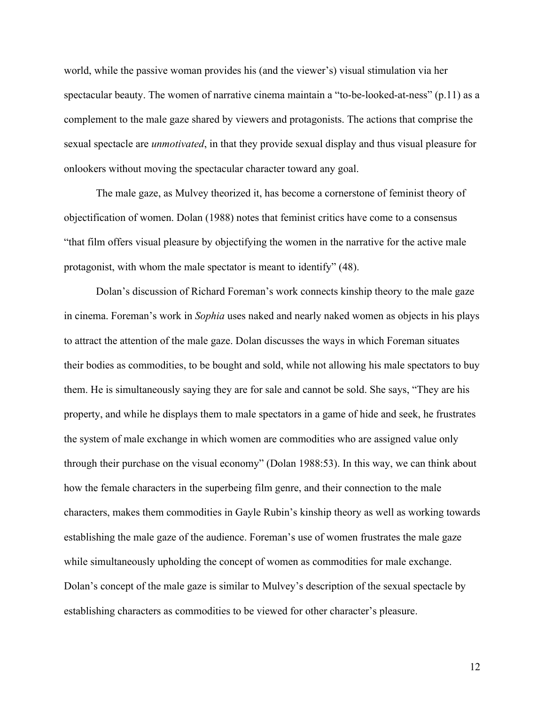world, while the passive woman provides his (and the viewer's) visual stimulation via her spectacular beauty. The women of narrative cinema maintain a "to-be-looked-at-ness" (p.11) as a complement to the male gaze shared by viewers and protagonists. The actions that comprise the sexual spectacle are *unmotivated*, in that they provide sexual display and thus visual pleasure for onlookers without moving the spectacular character toward any goal.

The male gaze, as Mulvey theorized it, has become a cornerstone of feminist theory of objectification of women. Dolan (1988) notes that feminist critics have come to a consensus "that film offers visual pleasure by objectifying the women in the narrative for the active male protagonist, with whom the male spectator is meant to identify" (48).

Dolan's discussion of Richard Foreman's work connects kinship theory to the male gaze in cinema. Foreman's work in *Sophia* uses naked and nearly naked women as objects in his plays to attract the attention of the male gaze. Dolan discusses the ways in which Foreman situates their bodies as commodities, to be bought and sold, while not allowing his male spectators to buy them. He is simultaneously saying they are for sale and cannot be sold. She says, "They are his property, and while he displays them to male spectators in a game of hide and seek, he frustrates the system of male exchange in which women are commodities who are assigned value only through their purchase on the visual economy" (Dolan 1988:53). In this way, we can think about how the female characters in the superbeing film genre, and their connection to the male characters, makes them commodities in Gayle Rubin's kinship theory as well as working towards establishing the male gaze of the audience. Foreman's use of women frustrates the male gaze while simultaneously upholding the concept of women as commodities for male exchange. Dolan's concept of the male gaze is similar to Mulvey's description of the sexual spectacle by establishing characters as commodities to be viewed for other character's pleasure.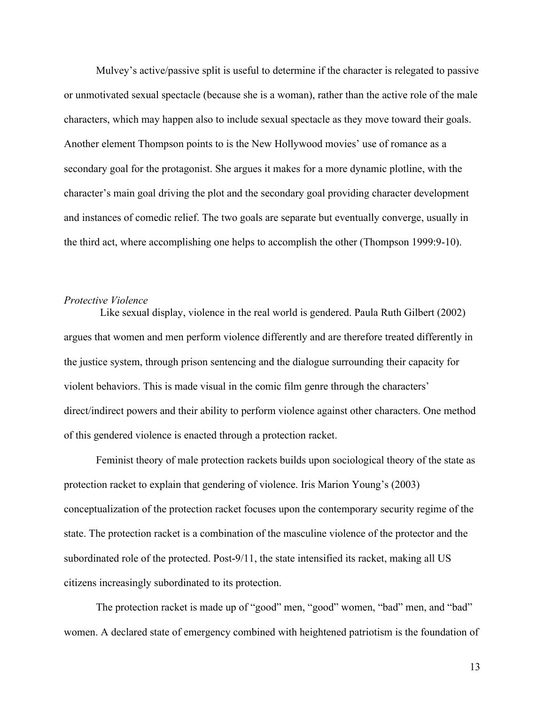Mulvey's active/passive split is useful to determine if the character is relegated to passive or unmotivated sexual spectacle (because she is a woman), rather than the active role of the male characters, which may happen also to include sexual spectacle as they move toward their goals. Another element Thompson points to is the New Hollywood movies' use of romance as a secondary goal for the protagonist. She argues it makes for a more dynamic plotline, with the character's main goal driving the plot and the secondary goal providing character development and instances of comedic relief. The two goals are separate but eventually converge, usually in the third act, where accomplishing one helps to accomplish the other (Thompson 1999:9-10).

#### *Protective Violence*

Like sexual display, violence in the real world is gendered. Paula Ruth Gilbert (2002) argues that women and men perform violence differently and are therefore treated differently in the justice system, through prison sentencing and the dialogue surrounding their capacity for violent behaviors. This is made visual in the comic film genre through the characters' direct/indirect powers and their ability to perform violence against other characters. One method of this gendered violence is enacted through a protection racket.

Feminist theory of male protection rackets builds upon sociological theory of the state as protection racket to explain that gendering of violence. Iris Marion Young's (2003) conceptualization of the protection racket focuses upon the contemporary security regime of the state. The protection racket is a combination of the masculine violence of the protector and the subordinated role of the protected. Post-9/11, the state intensified its racket, making all US citizens increasingly subordinated to its protection.

The protection racket is made up of "good" men, "good" women, "bad" men, and "bad" women. A declared state of emergency combined with heightened patriotism is the foundation of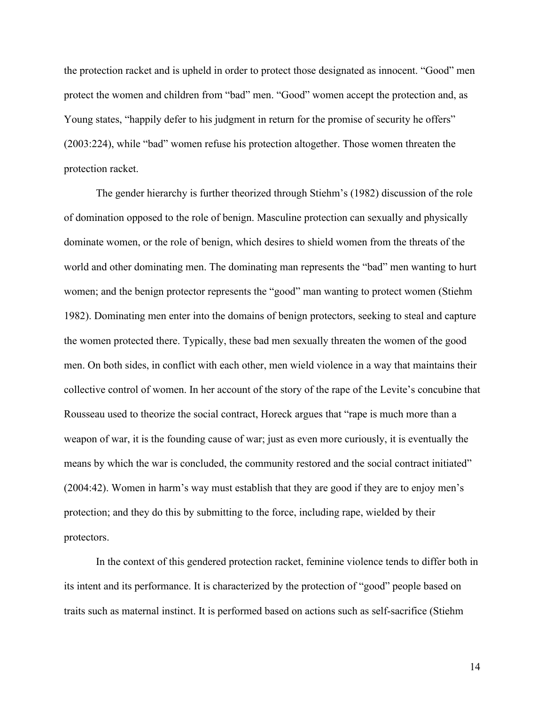the protection racket and is upheld in order to protect those designated as innocent. "Good" men protect the women and children from "bad" men. "Good" women accept the protection and, as Young states, "happily defer to his judgment in return for the promise of security he offers" (2003:224), while "bad" women refuse his protection altogether. Those women threaten the protection racket.

The gender hierarchy is further theorized through Stiehm's (1982) discussion of the role of domination opposed to the role of benign. Masculine protection can sexually and physically dominate women, or the role of benign, which desires to shield women from the threats of the world and other dominating men. The dominating man represents the "bad" men wanting to hurt women; and the benign protector represents the "good" man wanting to protect women (Stiehm 1982). Dominating men enter into the domains of benign protectors, seeking to steal and capture the women protected there. Typically, these bad men sexually threaten the women of the good men. On both sides, in conflict with each other, men wield violence in a way that maintains their collective control of women. In her account of the story of the rape of the Levite's concubine that Rousseau used to theorize the social contract, Horeck argues that "rape is much more than a weapon of war, it is the founding cause of war; just as even more curiously, it is eventually the means by which the war is concluded, the community restored and the social contract initiated" (2004:42). Women in harm's way must establish that they are good if they are to enjoy men's protection; and they do this by submitting to the force, including rape, wielded by their protectors.

In the context of this gendered protection racket, feminine violence tends to differ both in its intent and its performance. It is characterized by the protection of "good" people based on traits such as maternal instinct. It is performed based on actions such as self-sacrifice (Stiehm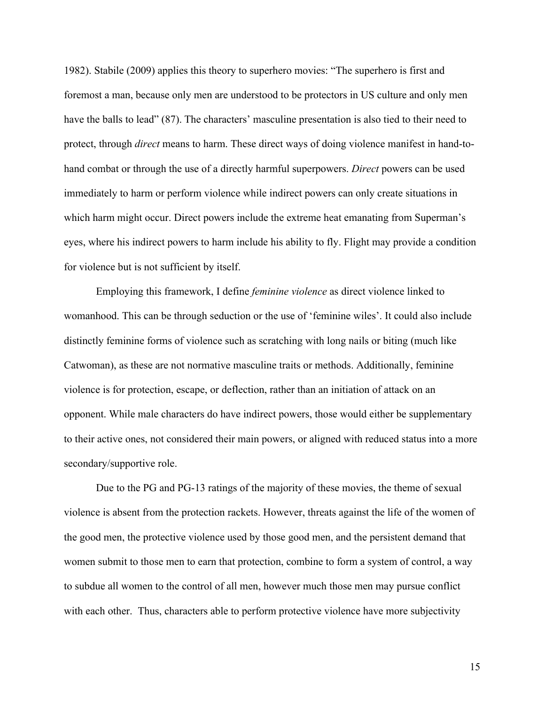1982). Stabile (2009) applies this theory to superhero movies: "The superhero is first and foremost a man, because only men are understood to be protectors in US culture and only men have the balls to lead" (87). The characters' masculine presentation is also tied to their need to protect, through *direct* means to harm. These direct ways of doing violence manifest in hand-tohand combat or through the use of a directly harmful superpowers. *Direct* powers can be used immediately to harm or perform violence while indirect powers can only create situations in which harm might occur. Direct powers include the extreme heat emanating from Superman's eyes, where his indirect powers to harm include his ability to fly. Flight may provide a condition for violence but is not sufficient by itself.

Employing this framework, I define *feminine violence* as direct violence linked to womanhood. This can be through seduction or the use of 'feminine wiles'. It could also include distinctly feminine forms of violence such as scratching with long nails or biting (much like Catwoman), as these are not normative masculine traits or methods. Additionally, feminine violence is for protection, escape, or deflection, rather than an initiation of attack on an opponent. While male characters do have indirect powers, those would either be supplementary to their active ones, not considered their main powers, or aligned with reduced status into a more secondary/supportive role.

Due to the PG and PG-13 ratings of the majority of these movies, the theme of sexual violence is absent from the protection rackets. However, threats against the life of the women of the good men, the protective violence used by those good men, and the persistent demand that women submit to those men to earn that protection, combine to form a system of control, a way to subdue all women to the control of all men, however much those men may pursue conflict with each other. Thus, characters able to perform protective violence have more subjectivity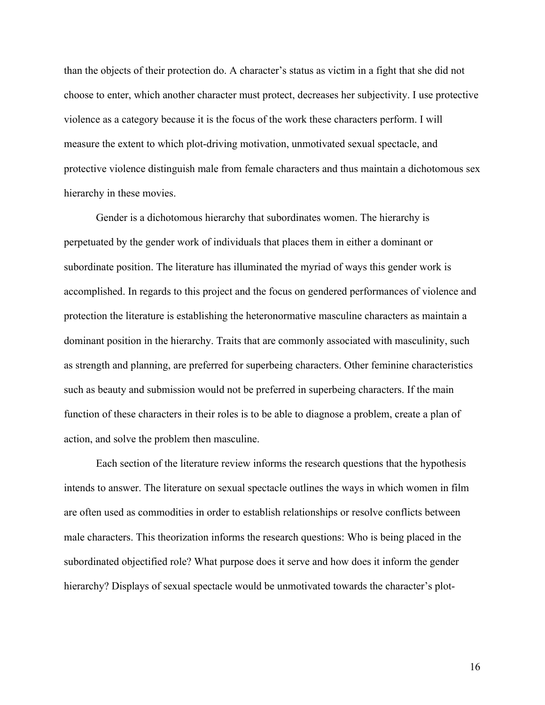than the objects of their protection do. A character's status as victim in a fight that she did not choose to enter, which another character must protect, decreases her subjectivity. I use protective violence as a category because it is the focus of the work these characters perform. I will measure the extent to which plot-driving motivation, unmotivated sexual spectacle, and protective violence distinguish male from female characters and thus maintain a dichotomous sex hierarchy in these movies.

Gender is a dichotomous hierarchy that subordinates women. The hierarchy is perpetuated by the gender work of individuals that places them in either a dominant or subordinate position. The literature has illuminated the myriad of ways this gender work is accomplished. In regards to this project and the focus on gendered performances of violence and protection the literature is establishing the heteronormative masculine characters as maintain a dominant position in the hierarchy. Traits that are commonly associated with masculinity, such as strength and planning, are preferred for superbeing characters. Other feminine characteristics such as beauty and submission would not be preferred in superbeing characters. If the main function of these characters in their roles is to be able to diagnose a problem, create a plan of action, and solve the problem then masculine.

Each section of the literature review informs the research questions that the hypothesis intends to answer. The literature on sexual spectacle outlines the ways in which women in film are often used as commodities in order to establish relationships or resolve conflicts between male characters. This theorization informs the research questions: Who is being placed in the subordinated objectified role? What purpose does it serve and how does it inform the gender hierarchy? Displays of sexual spectacle would be unmotivated towards the character's plot-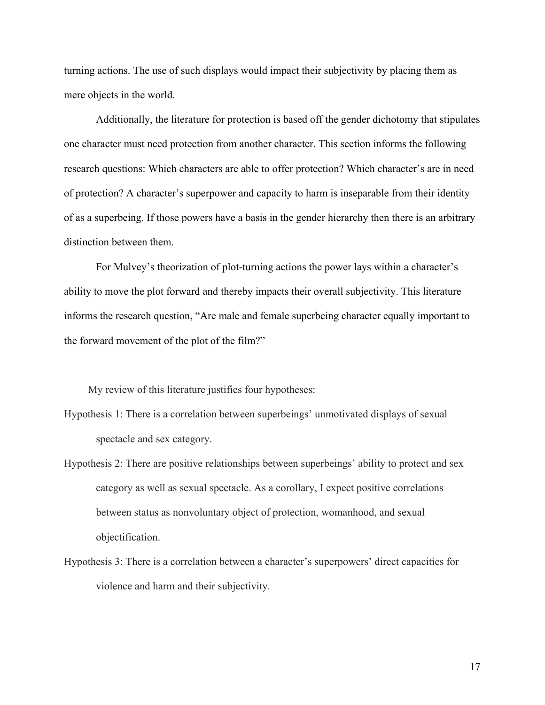turning actions. The use of such displays would impact their subjectivity by placing them as mere objects in the world.

Additionally, the literature for protection is based off the gender dichotomy that stipulates one character must need protection from another character. This section informs the following research questions: Which characters are able to offer protection? Which character's are in need of protection? A character's superpower and capacity to harm is inseparable from their identity of as a superbeing. If those powers have a basis in the gender hierarchy then there is an arbitrary distinction between them.

For Mulvey's theorization of plot-turning actions the power lays within a character's ability to move the plot forward and thereby impacts their overall subjectivity. This literature informs the research question, "Are male and female superbeing character equally important to the forward movement of the plot of the film?"

My review of this literature justifies four hypotheses:

- Hypothesis 1: There is a correlation between superbeings' unmotivated displays of sexual spectacle and sex category.
- Hypothesis 2: There are positive relationships between superbeings' ability to protect and sex category as well as sexual spectacle. As a corollary, I expect positive correlations between status as nonvoluntary object of protection, womanhood, and sexual objectification.
- Hypothesis 3: There is a correlation between a character's superpowers' direct capacities for violence and harm and their subjectivity.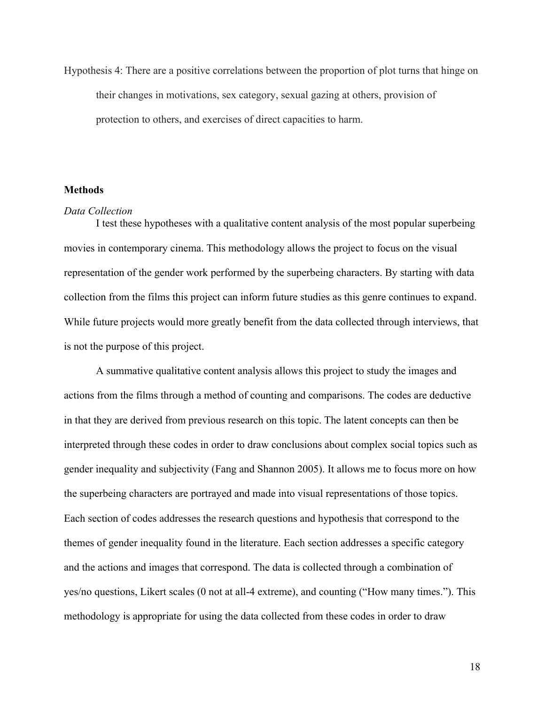Hypothesis 4: There are a positive correlations between the proportion of plot turns that hinge on their changes in motivations, sex category, sexual gazing at others, provision of protection to others, and exercises of direct capacities to harm.

#### **Methods**

#### *Data Collection*

I test these hypotheses with a qualitative content analysis of the most popular superbeing movies in contemporary cinema. This methodology allows the project to focus on the visual representation of the gender work performed by the superbeing characters. By starting with data collection from the films this project can inform future studies as this genre continues to expand. While future projects would more greatly benefit from the data collected through interviews, that is not the purpose of this project.

A summative qualitative content analysis allows this project to study the images and actions from the films through a method of counting and comparisons. The codes are deductive in that they are derived from previous research on this topic. The latent concepts can then be interpreted through these codes in order to draw conclusions about complex social topics such as gender inequality and subjectivity (Fang and Shannon 2005). It allows me to focus more on how the superbeing characters are portrayed and made into visual representations of those topics. Each section of codes addresses the research questions and hypothesis that correspond to the themes of gender inequality found in the literature. Each section addresses a specific category and the actions and images that correspond. The data is collected through a combination of yes/no questions, Likert scales (0 not at all-4 extreme), and counting ("How many times."). This methodology is appropriate for using the data collected from these codes in order to draw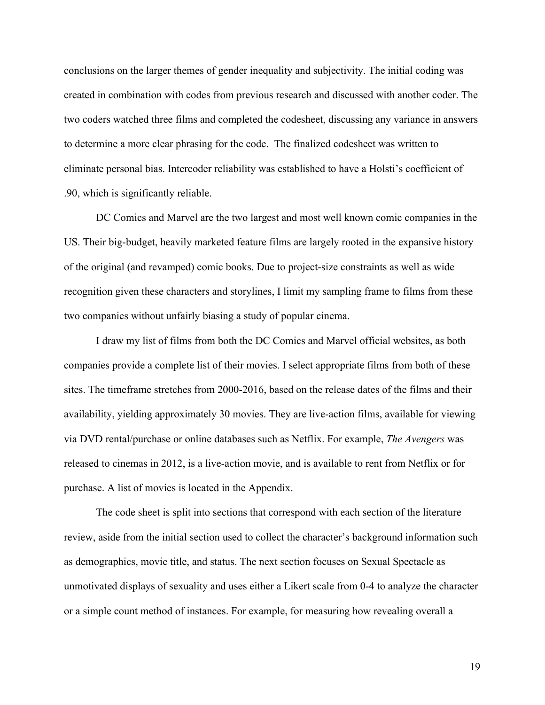conclusions on the larger themes of gender inequality and subjectivity. The initial coding was created in combination with codes from previous research and discussed with another coder. The two coders watched three films and completed the codesheet, discussing any variance in answers to determine a more clear phrasing for the code. The finalized codesheet was written to eliminate personal bias. Intercoder reliability was established to have a Holsti's coefficient of .90, which is significantly reliable.

DC Comics and Marvel are the two largest and most well known comic companies in the US. Their big-budget, heavily marketed feature films are largely rooted in the expansive history of the original (and revamped) comic books. Due to project-size constraints as well as wide recognition given these characters and storylines, I limit my sampling frame to films from these two companies without unfairly biasing a study of popular cinema.

I draw my list of films from both the DC Comics and Marvel official websites, as both companies provide a complete list of their movies. I select appropriate films from both of these sites. The timeframe stretches from 2000-2016, based on the release dates of the films and their availability, yielding approximately 30 movies. They are live-action films, available for viewing via DVD rental/purchase or online databases such as Netflix. For example, *The Avengers* was released to cinemas in 2012, is a live-action movie, and is available to rent from Netflix or for purchase. A list of movies is located in the Appendix.

The code sheet is split into sections that correspond with each section of the literature review, aside from the initial section used to collect the character's background information such as demographics, movie title, and status. The next section focuses on Sexual Spectacle as unmotivated displays of sexuality and uses either a Likert scale from 0-4 to analyze the character or a simple count method of instances. For example, for measuring how revealing overall a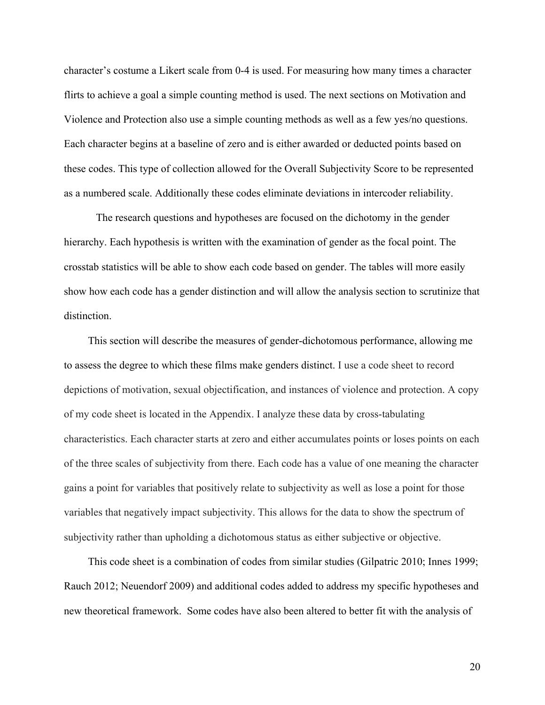character's costume a Likert scale from 0-4 is used. For measuring how many times a character flirts to achieve a goal a simple counting method is used. The next sections on Motivation and Violence and Protection also use a simple counting methods as well as a few yes/no questions. Each character begins at a baseline of zero and is either awarded or deducted points based on these codes. This type of collection allowed for the Overall Subjectivity Score to be represented as a numbered scale. Additionally these codes eliminate deviations in intercoder reliability.

The research questions and hypotheses are focused on the dichotomy in the gender hierarchy. Each hypothesis is written with the examination of gender as the focal point. The crosstab statistics will be able to show each code based on gender. The tables will more easily show how each code has a gender distinction and will allow the analysis section to scrutinize that distinction.

This section will describe the measures of gender-dichotomous performance, allowing me to assess the degree to which these films make genders distinct. I use a code sheet to record depictions of motivation, sexual objectification, and instances of violence and protection. A copy of my code sheet is located in the Appendix. I analyze these data by cross-tabulating characteristics. Each character starts at zero and either accumulates points or loses points on each of the three scales of subjectivity from there. Each code has a value of one meaning the character gains a point for variables that positively relate to subjectivity as well as lose a point for those variables that negatively impact subjectivity. This allows for the data to show the spectrum of subjectivity rather than upholding a dichotomous status as either subjective or objective.

This code sheet is a combination of codes from similar studies (Gilpatric 2010; Innes 1999; Rauch 2012; Neuendorf 2009) and additional codes added to address my specific hypotheses and new theoretical framework. Some codes have also been altered to better fit with the analysis of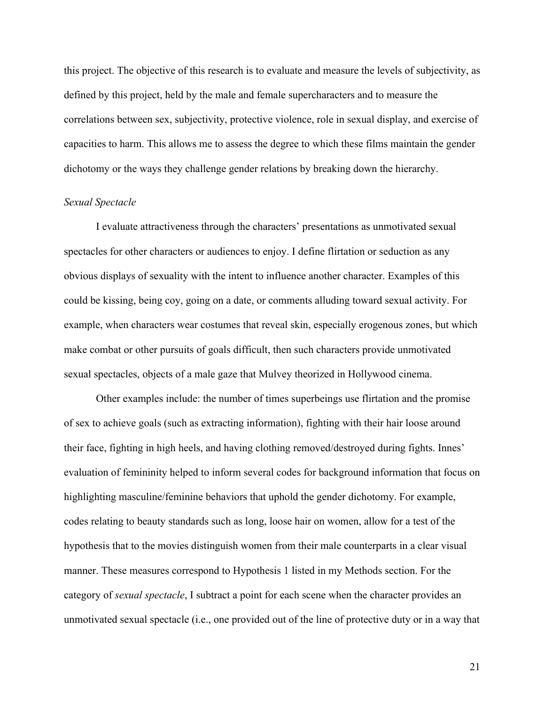this project. The objective of this research is to evaluate and measure the levels of subjectivity, as defined by this project, held by the male and female supercharacters and to measure the correlations between sex, subjectivity, protective violence, role in sexual display, and exercise of capacities to harm. This allows me to assess the degree to which these films maintain the gender dichotomy or the ways they challenge gender relations by breaking down the hierarchy.

### *Sexual Spectacle*

I evaluate attractiveness through the characters' presentations as unmotivated sexual spectacles for other characters or audiences to enjoy. I define flirtation or seduction as any obvious displays of sexuality with the intent to influence another character. Examples of this could be kissing, being coy, going on a date, or comments alluding toward sexual activity. For example, when characters wear costumes that reveal skin, especially erogenous zones, but which make combat or other pursuits of goals difficult, then such characters provide unmotivated sexual spectacles, objects of a male gaze that Mulvey theorized in Hollywood cinema.

Other examples include: the number of times superbeings use flirtation and the promise of sex to achieve goals (such as extracting information), fighting with their hair loose around their face, fighting in high heels, and having clothing removed/destroyed during fights. Innes' evaluation of femininity helped to inform several codes for background information that focus on highlighting masculine/feminine behaviors that uphold the gender dichotomy. For example, codes relating to beauty standards such as long, loose hair on women, allow for a test of the hypothesis that to the movies distinguish women from their male counterparts in a clear visual manner. These measures correspond to Hypothesis 1 listed in my Methods section. For the category of *sexual spectacle*, I subtract a point for each scene when the character provides an unmotivated sexual spectacle (i.e., one provided out of the line of protective duty or in a way that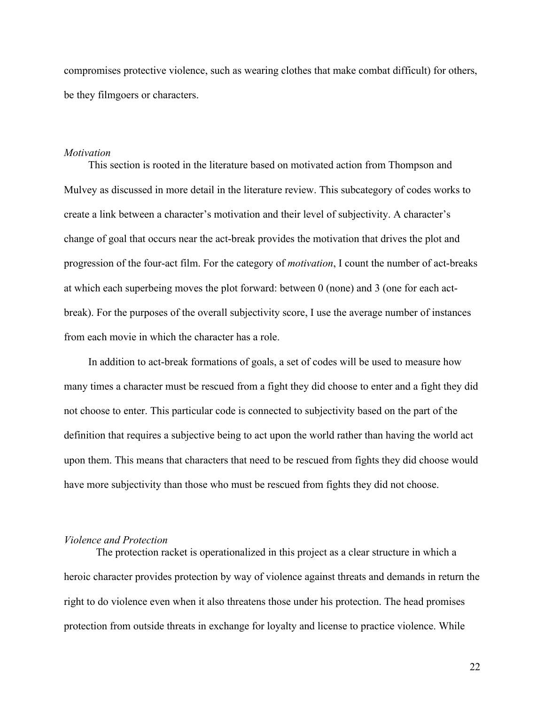compromises protective violence, such as wearing clothes that make combat difficult) for others, be they filmgoers or characters.

#### *Motivation*

This section is rooted in the literature based on motivated action from Thompson and Mulvey as discussed in more detail in the literature review. This subcategory of codes works to create a link between a character's motivation and their level of subjectivity. A character's change of goal that occurs near the act-break provides the motivation that drives the plot and progression of the four-act film. For the category of *motivation*, I count the number of act-breaks at which each superbeing moves the plot forward: between 0 (none) and 3 (one for each actbreak). For the purposes of the overall subjectivity score, I use the average number of instances from each movie in which the character has a role.

In addition to act-break formations of goals, a set of codes will be used to measure how many times a character must be rescued from a fight they did choose to enter and a fight they did not choose to enter. This particular code is connected to subjectivity based on the part of the definition that requires a subjective being to act upon the world rather than having the world act upon them. This means that characters that need to be rescued from fights they did choose would have more subjectivity than those who must be rescued from fights they did not choose.

#### *Violence and Protection*

The protection racket is operationalized in this project as a clear structure in which a heroic character provides protection by way of violence against threats and demands in return the right to do violence even when it also threatens those under his protection. The head promises protection from outside threats in exchange for loyalty and license to practice violence. While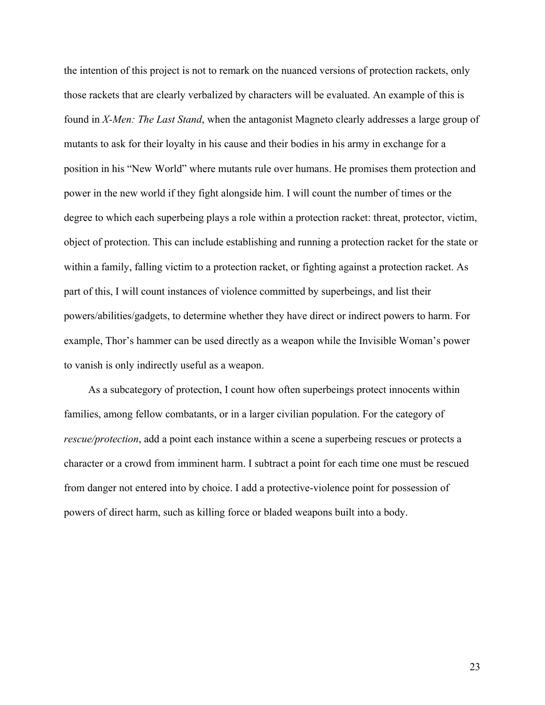the intention of this project is not to remark on the nuanced versions of protection rackets, only those rackets that are clearly verbalized by characters will be evaluated. An example of this is found in *X-Men: The Last Stand*, when the antagonist Magneto clearly addresses a large group of mutants to ask for their loyalty in his cause and their bodies in his army in exchange for a position in his "New World" where mutants rule over humans. He promises them protection and power in the new world if they fight alongside him. I will count the number of times or the degree to which each superbeing plays a role within a protection racket: threat, protector, victim, object of protection. This can include establishing and running a protection racket for the state or within a family, falling victim to a protection racket, or fighting against a protection racket. As part of this, I will count instances of violence committed by superbeings, and list their powers/abilities/gadgets, to determine whether they have direct or indirect powers to harm. For example, Thor's hammer can be used directly as a weapon while the Invisible Woman's power to vanish is only indirectly useful as a weapon.

As a subcategory of protection, I count how often superbeings protect innocents within families, among fellow combatants, or in a larger civilian population. For the category of *rescue/protection*, add a point each instance within a scene a superbeing rescues or protects a character or a crowd from imminent harm. I subtract a point for each time one must be rescued from danger not entered into by choice. I add a protective-violence point for possession of powers of direct harm, such as killing force or bladed weapons built into a body.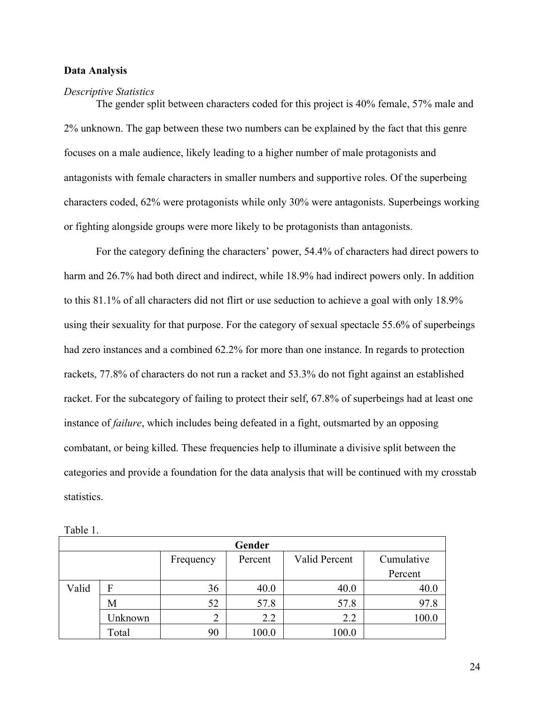### **Data Analysis**

#### *Descriptive Statistics*

The gender split between characters coded for this project is 40% female, 57% male and 2% unknown. The gap between these two numbers can be explained by the fact that this genre focuses on a male audience, likely leading to a higher number of male protagonists and antagonists with female characters in smaller numbers and supportive roles. Of the superbeing characters coded, 62% were protagonists while only 30% were antagonists. Superbeings working or fighting alongside groups were more likely to be protagonists than antagonists.

For the category defining the characters' power, 54.4% of characters had direct powers to harm and 26.7% had both direct and indirect, while 18.9% had indirect powers only. In addition to this 81.1% of all characters did not flirt or use seduction to achieve a goal with only 18.9% using their sexuality for that purpose. For the category of sexual spectacle 55.6% of superbeings had zero instances and a combined 62.2% for more than one instance. In regards to protection rackets, 77.8% of characters do not run a racket and 53.3% do not fight against an established racket. For the subcategory of failing to protect their self, 67.8% of superbeings had at least one instance of *failure*, which includes being defeated in a fight, outsmarted by an opposing combatant, or being killed. These frequencies help to illuminate a divisive split between the categories and provide a foundation for the data analysis that will be continued with my crosstab statistics.

| Gender |         |                |         |               |            |  |
|--------|---------|----------------|---------|---------------|------------|--|
|        |         | Frequency      | Percent | Valid Percent | Cumulative |  |
|        |         |                |         |               | Percent    |  |
| Valid  | F       | 36             | 40.0    | 40.0          | 40.0       |  |
|        | М       | 52             | 57.8    | 57.8          | 97.8       |  |
|        | Jnknown | $\overline{2}$ | 2.2     | 2.2           | 100.0      |  |
|        | Total   | 90             | 100.0   | 100.0         |            |  |

|--|--|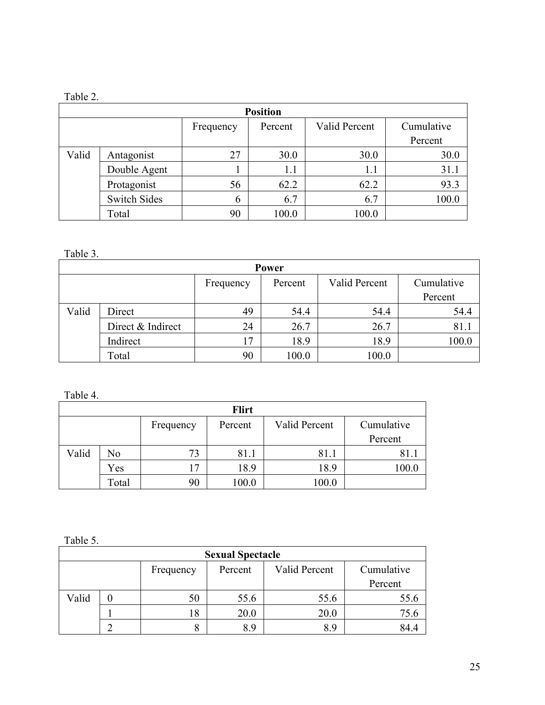## Table 2.

| <b>Position</b> |                     |           |         |               |            |  |  |  |
|-----------------|---------------------|-----------|---------|---------------|------------|--|--|--|
|                 |                     | Frequency | Percent | Valid Percent | Cumulative |  |  |  |
|                 |                     |           |         |               | Percent    |  |  |  |
| Valid           | Antagonist          | 27        | 30.0    | 30.0          | 30.0       |  |  |  |
|                 | Double Agent        |           | 1.1     | 1.1           | 31.1       |  |  |  |
|                 | Protagonist         | 56        | 62.2    | 62.2          | 93.3       |  |  |  |
|                 | <b>Switch Sides</b> | 6         | 6.7     | 6.7           | 100.0      |  |  |  |
|                 | Total               | 90        | 100.0   | 100.0         |            |  |  |  |

Table 3.

| Power |                   |           |         |               |            |  |  |  |
|-------|-------------------|-----------|---------|---------------|------------|--|--|--|
|       |                   | Frequency | Percent | Valid Percent | Cumulative |  |  |  |
|       |                   |           |         |               | Percent    |  |  |  |
| Valid | Direct            | 49        | 54.4    | 54.4          | 54.4       |  |  |  |
|       | Direct & Indirect | 24        | 26.7    | 26.7          | 81.1       |  |  |  |
|       | Indirect          | 17        | 18.9    | 18.9          | 100.0      |  |  |  |
|       | Total             | 90        | 100.0   | 100.0         |            |  |  |  |

| Table 4. |       |           |              |               |            |
|----------|-------|-----------|--------------|---------------|------------|
|          |       |           | <b>Flirt</b> |               |            |
|          |       | Frequency | Percent      | Valid Percent | Cumulative |
|          |       |           |              |               | Percent    |
| Valid    | No    | 73        | 81.1         | 81.1          | 81.1       |
|          | Yes   | 17        | 18.9         | 18.9          | 100.0      |
|          | Total | 90        | 100.0        | 100.0         |            |

Table 5.

| <b>Sexual Spectacle</b> |  |           |         |               |            |
|-------------------------|--|-----------|---------|---------------|------------|
|                         |  | Frequency | Percent | Valid Percent | Cumulative |
|                         |  |           |         |               | Percent    |
| Valid                   |  | 50        | 55.6    | 55.6          | 55.6       |
|                         |  | 18        | 20.0    | 20.0          | 75.6       |
|                         |  |           | 8.9     | 8.9           | 84.4       |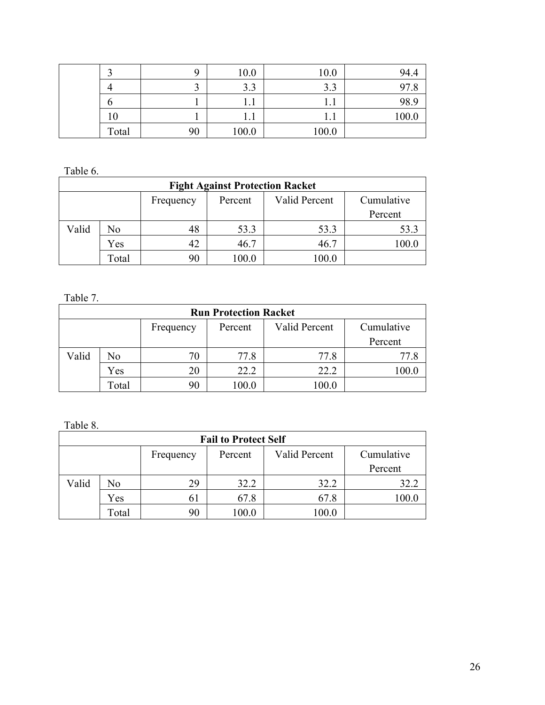|       | q  | 10.0  | 10.0                          | 94.4  |
|-------|----|-------|-------------------------------|-------|
| 4     | ◡  | 3.3   | 2 <sub>2</sub><br>ر .ر        | 97.8  |
| O     |    | 1.1   | $\mathbf{1} \cdot \mathbf{1}$ | 98.9  |
| 10    |    | 1.1   |                               | 100.0 |
| Total | 90 | 100.0 | 100.0                         |       |

Table 6.

| <b>Fight Against Protection Racket</b> |       |           |         |               |            |
|----------------------------------------|-------|-----------|---------|---------------|------------|
|                                        |       | Frequency | Percent | Valid Percent | Cumulative |
|                                        |       |           |         |               | Percent    |
| Valid                                  | No    | 48        | 53.3    | 53.3          | 53.3       |
|                                        | Yes   | 42        | 46.7    | 46.7          | 100.0      |
|                                        | Total | 90        | 100.0   | 100.0         |            |

Table 7.

| <b>Run Protection Racket</b> |                |           |         |               |            |
|------------------------------|----------------|-----------|---------|---------------|------------|
|                              |                | Frequency | Percent | Valid Percent | Cumulative |
|                              |                |           |         |               | Percent    |
| Valid                        | N <sub>0</sub> | 70        | 77.8    | 77.8          | 77.8       |
|                              | Yes            | 20        | 22.2    | 22.2          | 100.C      |
|                              | Total          | 90        | 100.0   | 100.0         |            |

Table 8.

| <b>Fail to Protect Self</b> |       |           |         |               |            |
|-----------------------------|-------|-----------|---------|---------------|------------|
|                             |       | Frequency | Percent | Valid Percent | Cumulative |
|                             |       |           |         |               | Percent    |
| Valid                       | No    | 29        | 32.2    | 32.2          | 32.2       |
|                             | Yes   | 61        | 67.8    | 67.8          | 100.0      |
|                             | Total | 90        | 100.0   | 100.0         |            |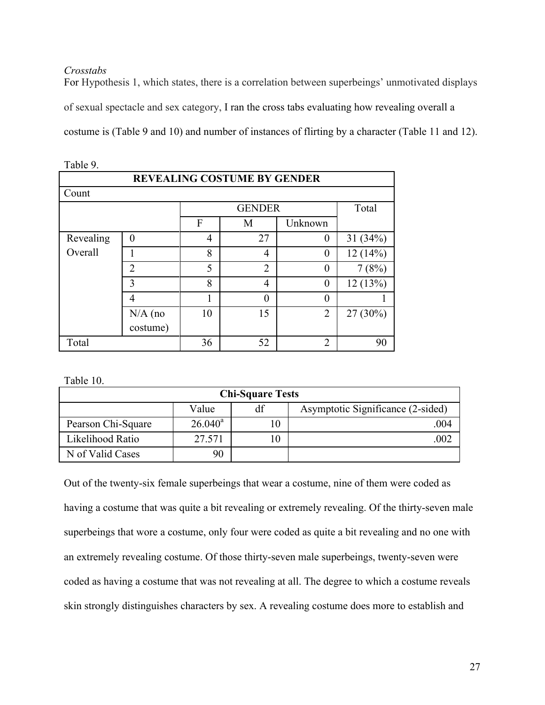## *Crosstabs*

For Hypothesis 1, which states, there is a correlation between superbeings' unmotivated displays of sexual spectacle and sex category, I ran the cross tabs evaluating how revealing overall a costume is (Table 9 and 10) and number of instances of flirting by a character (Table 11 and 12).

| Table 9.                           |                |                   |                |                |            |  |
|------------------------------------|----------------|-------------------|----------------|----------------|------------|--|
| <b>REVEALING COSTUME BY GENDER</b> |                |                   |                |                |            |  |
| Count                              |                |                   |                |                |            |  |
|                                    |                |                   | <b>GENDER</b>  |                | Total      |  |
|                                    |                | F<br>Unknown<br>M |                |                |            |  |
| Revealing                          | $\theta$       | 4                 | 27             | $\theta$       | 31 $(34%)$ |  |
| Overall                            |                | 8                 | 4              | $\overline{0}$ | 12(14%)    |  |
|                                    | $\overline{2}$ | 5                 | $\overline{2}$ | $\theta$       | 7(8%)      |  |
|                                    | 3              | 8                 | 4              | $\theta$       | 12(13%)    |  |
|                                    | 4              |                   | 0              | 0              |            |  |
|                                    | $N/A$ (no      | 10                | 15             | $\overline{2}$ | $27(30\%)$ |  |
|                                    | costume)       |                   |                |                |            |  |
| Total                              |                | 36                | 52             | 2              | 90         |  |

Table 10.

| <b>Chi-Square Tests</b> |            |      |                                   |  |
|-------------------------|------------|------|-----------------------------------|--|
|                         | Value      |      | Asymptotic Significance (2-sided) |  |
| Pearson Chi-Square      | $26.040^a$ | 10   | 004                               |  |
| Likelihood Ratio        | 27.571     | l () |                                   |  |
| N of Valid Cases        | 90         |      |                                   |  |

Out of the twenty-six female superbeings that wear a costume, nine of them were coded as having a costume that was quite a bit revealing or extremely revealing. Of the thirty-seven male superbeings that wore a costume, only four were coded as quite a bit revealing and no one with an extremely revealing costume. Of those thirty-seven male superbeings, twenty-seven were coded as having a costume that was not revealing at all. The degree to which a costume reveals skin strongly distinguishes characters by sex. A revealing costume does more to establish and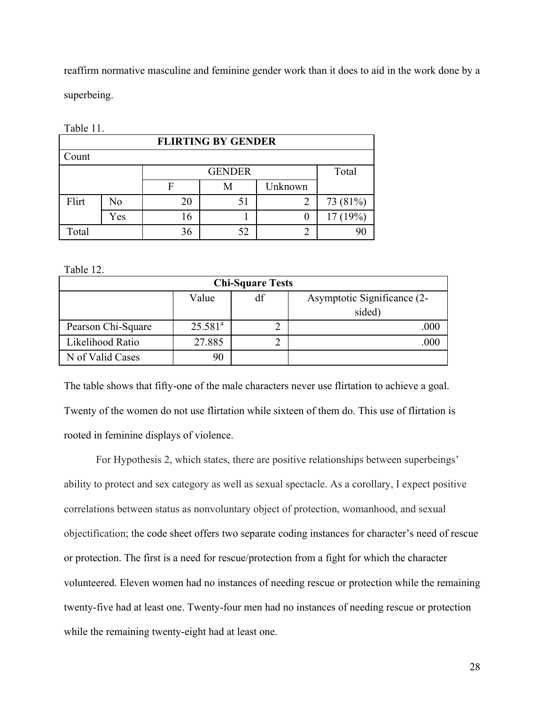reaffirm normative masculine and feminine gender work than it does to aid in the work done by a superbeing.

| 140IV 11. |                |    |                           |          |          |  |  |
|-----------|----------------|----|---------------------------|----------|----------|--|--|
|           |                |    | <b>FLIRTING BY GENDER</b> |          |          |  |  |
| Count     |                |    |                           |          |          |  |  |
|           |                |    | Total<br><b>GENDER</b>    |          |          |  |  |
|           |                | F  | M                         | Unknown  |          |  |  |
| Flirt     | N <sub>0</sub> | 20 | 51                        |          | 73 (81%) |  |  |
|           | Yes            | 16 |                           | $\theta$ | 17(19%)  |  |  |
| Total     |                | 36 | 52                        | 2        |          |  |  |

Table 11.

Table 12.

| <b>Chi-Square Tests</b> |            |    |                             |  |
|-------------------------|------------|----|-----------------------------|--|
|                         | Value      | df | Asymptotic Significance (2- |  |
|                         |            |    | sided)                      |  |
| Pearson Chi-Square      | $25.581^a$ |    | .000                        |  |
| Likelihood Ratio        | 27.885     |    |                             |  |
| N of Valid Cases        | 90         |    |                             |  |

The table shows that fifty-one of the male characters never use flirtation to achieve a goal. Twenty of the women do not use flirtation while sixteen of them do. This use of flirtation is rooted in feminine displays of violence.

For Hypothesis 2, which states, there are positive relationships between superbeings' ability to protect and sex category as well as sexual spectacle. As a corollary, I expect positive correlations between status as nonvoluntary object of protection, womanhood, and sexual objectification; the code sheet offers two separate coding instances for character's need of rescue or protection. The first is a need for rescue/protection from a fight for which the character volunteered. Eleven women had no instances of needing rescue or protection while the remaining twenty-five had at least one. Twenty-four men had no instances of needing rescue or protection while the remaining twenty-eight had at least one.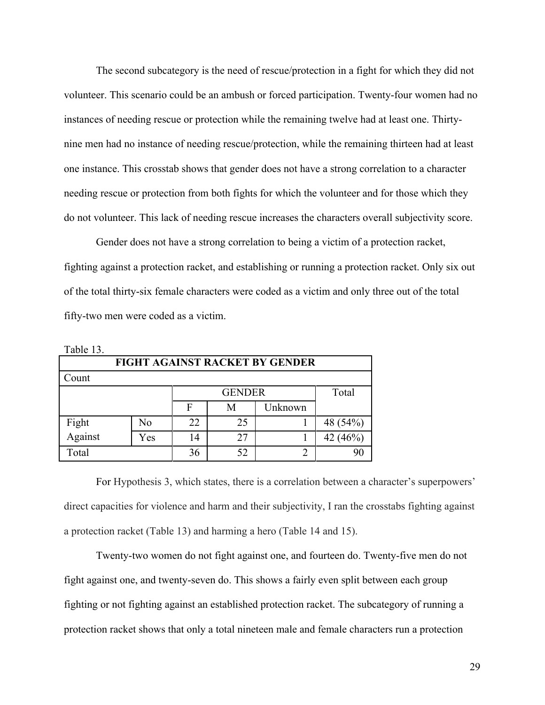The second subcategory is the need of rescue/protection in a fight for which they did not volunteer. This scenario could be an ambush or forced participation. Twenty-four women had no instances of needing rescue or protection while the remaining twelve had at least one. Thirtynine men had no instance of needing rescue/protection, while the remaining thirteen had at least one instance. This crosstab shows that gender does not have a strong correlation to a character needing rescue or protection from both fights for which the volunteer and for those which they do not volunteer. This lack of needing rescue increases the characters overall subjectivity score.

Gender does not have a strong correlation to being a victim of a protection racket, fighting against a protection racket, and establishing or running a protection racket. Only six out of the total thirty-six female characters were coded as a victim and only three out of the total fifty-two men were coded as a victim.

|                  | <b>FIGHT AGAINST RACKET BY GENDER</b> |                        |    |         |          |
|------------------|---------------------------------------|------------------------|----|---------|----------|
| Count            |                                       |                        |    |         |          |
|                  |                                       | Total<br><b>GENDER</b> |    |         |          |
|                  |                                       | F                      | M  | Unknown |          |
| Fight<br>Against | No                                    | 22                     | 25 |         | 48 (54%) |
|                  | Yes                                   | 14                     | 27 |         | 42 (46%) |
| Total            |                                       | 36                     | 52 |         |          |

Table 13.

For Hypothesis 3, which states, there is a correlation between a character's superpowers' direct capacities for violence and harm and their subjectivity, I ran the crosstabs fighting against a protection racket (Table 13) and harming a hero (Table 14 and 15).

Twenty-two women do not fight against one, and fourteen do. Twenty-five men do not fight against one, and twenty-seven do. This shows a fairly even split between each group fighting or not fighting against an established protection racket. The subcategory of running a protection racket shows that only a total nineteen male and female characters run a protection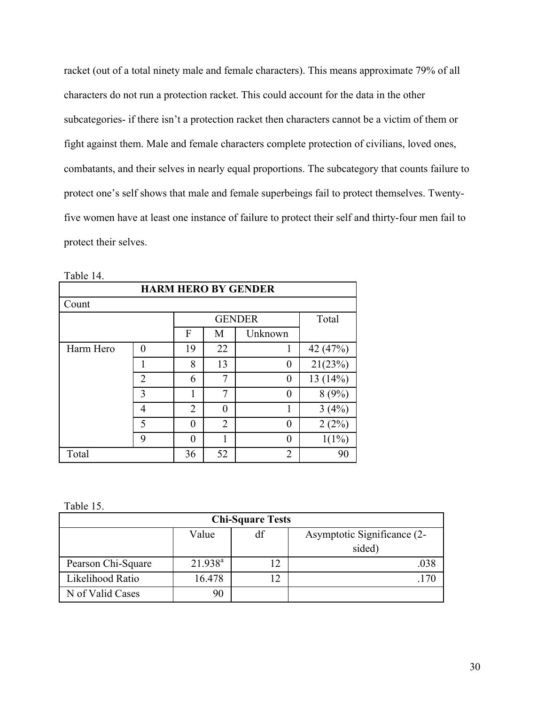racket (out of a total ninety male and female characters). This means approximate 79% of all characters do not run a protection racket. This could account for the data in the other subcategories- if there isn't a protection racket then characters cannot be a victim of them or fight against them. Male and female characters complete protection of civilians, loved ones, combatants, and their selves in nearly equal proportions. The subcategory that counts failure to protect one's self shows that male and female superbeings fail to protect themselves. Twentyfive women have at least one instance of failure to protect their self and thirty-four men fail to protect their selves.

|           | <b>HARM HERO BY GENDER</b> |    |                |                |          |  |
|-----------|----------------------------|----|----------------|----------------|----------|--|
| Count     |                            |    |                |                |          |  |
|           |                            |    |                | <b>GENDER</b>  | Total    |  |
|           |                            | F  | M              | Unknown        |          |  |
| Harm Hero | $\theta$                   | 19 | 22             | 1              | 42 (47%) |  |
|           |                            | 8  | 13             | 0              | 21(23%)  |  |
|           | $\overline{2}$             | 6  | 7              | $\theta$       | 13(14%)  |  |
|           | 3                          |    | 7              | 0              | 8(9%)    |  |
|           | 4                          | 2  | 0              | 1              | 3(4%)    |  |
|           | $\varsigma$                | 0  | $\overline{2}$ | 0              | 2(2%)    |  |
|           | 9                          | 0  |                | 0              | $1(1\%)$ |  |
| Total     |                            | 36 | 52             | $\overline{2}$ | 90       |  |

| Table 1 |  |
|---------|--|
|---------|--|

Table 15.

| <b>Chi-Square Tests</b> |            |                             |        |  |
|-------------------------|------------|-----------------------------|--------|--|
| df<br>Value             |            | Asymptotic Significance (2- |        |  |
|                         |            |                             | sided) |  |
| Pearson Chi-Square      | $21.938^a$ | $\overline{2}$              |        |  |
| Likelihood Ratio        | 16.478     | 12                          |        |  |
| N of Valid Cases        | 90         |                             |        |  |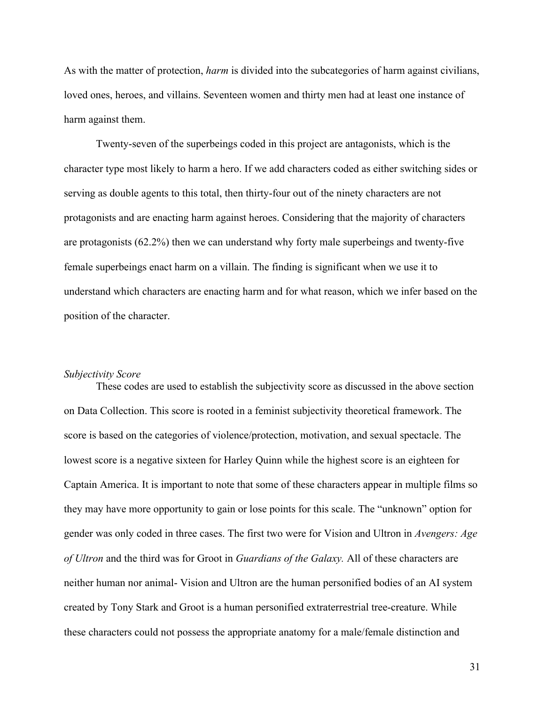As with the matter of protection, *harm* is divided into the subcategories of harm against civilians, loved ones, heroes, and villains. Seventeen women and thirty men had at least one instance of harm against them.

Twenty-seven of the superbeings coded in this project are antagonists, which is the character type most likely to harm a hero. If we add characters coded as either switching sides or serving as double agents to this total, then thirty-four out of the ninety characters are not protagonists and are enacting harm against heroes. Considering that the majority of characters are protagonists (62.2%) then we can understand why forty male superbeings and twenty-five female superbeings enact harm on a villain. The finding is significant when we use it to understand which characters are enacting harm and for what reason, which we infer based on the position of the character.

#### *Subjectivity Score*

These codes are used to establish the subjectivity score as discussed in the above section on Data Collection. This score is rooted in a feminist subjectivity theoretical framework. The score is based on the categories of violence/protection, motivation, and sexual spectacle. The lowest score is a negative sixteen for Harley Quinn while the highest score is an eighteen for Captain America. It is important to note that some of these characters appear in multiple films so they may have more opportunity to gain or lose points for this scale. The "unknown" option for gender was only coded in three cases. The first two were for Vision and Ultron in *Avengers: Age of Ultron* and the third was for Groot in *Guardians of the Galaxy.* All of these characters are neither human nor animal- Vision and Ultron are the human personified bodies of an AI system created by Tony Stark and Groot is a human personified extraterrestrial tree-creature. While these characters could not possess the appropriate anatomy for a male/female distinction and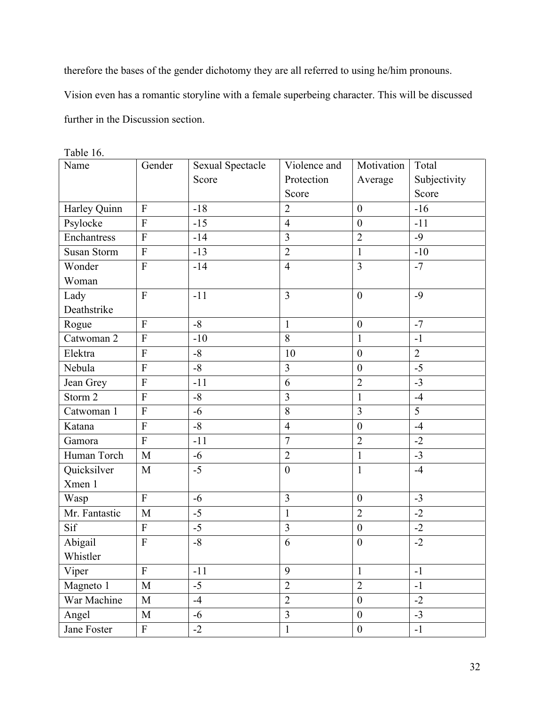therefore the bases of the gender dichotomy they are all referred to using he/him pronouns.

Vision even has a romantic storyline with a female superbeing character. This will be discussed

further in the Discussion section.

| Name               | Gender                    | <b>Sexual Spectacle</b> | Violence and            | Motivation       | Total          |
|--------------------|---------------------------|-------------------------|-------------------------|------------------|----------------|
|                    |                           | Score                   | Protection              | Average          | Subjectivity   |
|                    |                           |                         | Score                   |                  | Score          |
| Harley Quinn       | $\mathbf{F}$              | $-18$                   | $\overline{2}$          | $\mathbf{0}$     | $-16$          |
| Psylocke           | ${\bf F}$                 | $-15$                   | $\overline{4}$          | $\mathbf{0}$     | $-11$          |
| Enchantress        | $\overline{F}$            | $-14$                   | $\overline{3}$          | $\overline{2}$   | $-9$           |
| Susan Storm        | ${\bf F}$                 | $-13$                   | $\overline{2}$          | $\mathbf{1}$     | $-10$          |
| Wonder             | ${\bf F}$                 | $-14$                   | $\overline{4}$          | $\overline{3}$   | $-7$           |
| Woman              |                           |                         |                         |                  |                |
| Lady               | $\overline{F}$            | $-11$                   | $\overline{3}$          | $\boldsymbol{0}$ | $-9$           |
| Deathstrike        |                           |                         |                         |                  |                |
| Rogue              | $\overline{F}$            | $-8$                    | $\mathbf{1}$            | $\boldsymbol{0}$ | $-7$           |
| Catwoman 2         | $\overline{F}$            | $-10$                   | $\overline{8}$          | $\mathbf{1}$     | $-1$           |
| Elektra            | F                         | $-8$                    | 10                      | $\boldsymbol{0}$ | $\overline{2}$ |
| Nebula             | F                         | $-8$                    | 3                       | $\boldsymbol{0}$ | $-5$           |
| Jean Grey          | $\overline{F}$            | $-11$                   | 6                       | $\overline{2}$   | $-3$           |
| Storm <sub>2</sub> | $\overline{F}$            | $-8$                    | $\overline{\mathbf{3}}$ | $\mathbf{1}$     | $-4$           |
| Catwoman 1         | $\overline{F}$            | $-6$                    | 8                       | 3                | 5              |
| Katana             | ${\bf F}$                 | $-8$                    | $\overline{4}$          | $\boldsymbol{0}$ | $-4$           |
| Gamora             | $\overline{F}$            | $-11$                   | $\overline{7}$          | $\overline{2}$   | $-2$           |
| Human Torch        | M                         | $-6$                    | $\overline{2}$          | $\mathbf{1}$     | $-3$           |
| Quicksilver        | M                         | $-5$                    | $\boldsymbol{0}$        | 1                | $-4$           |
| Xmen 1             |                           |                         |                         |                  |                |
| Wasp               | $\boldsymbol{\mathrm{F}}$ | $-6$                    | $\overline{3}$          | $\boldsymbol{0}$ | $-3$           |
| Mr. Fantastic      | M                         | $-5$                    | $\mathbf{1}$            | $\overline{2}$   | $-2$           |
| Sif                | ${\bf F}$                 | $-5$                    | $\overline{3}$          | $\boldsymbol{0}$ | $-2$           |
| Abigail            | $\overline{F}$            | $-8$                    | 6                       | $\boldsymbol{0}$ | $-2$           |
| Whistler           |                           |                         |                         |                  |                |
| Viper              | ${\bf F}$                 | $-11$                   | 9                       | $\mathbf{1}$     | $-1$           |
| Magneto 1          | M                         | $-5$                    | $\overline{2}$          | $\overline{2}$   | $-1$           |
| War Machine        | M                         | $-4$                    | $\overline{2}$          | $\boldsymbol{0}$ | $-2$           |
| Angel              | M                         | $-6$                    | $\overline{3}$          | $\boldsymbol{0}$ | $-3$           |
| Jane Foster        | ${\bf F}$                 | $-2$                    | $\mathbf{1}$            | $\boldsymbol{0}$ | $-1$           |

Table 16.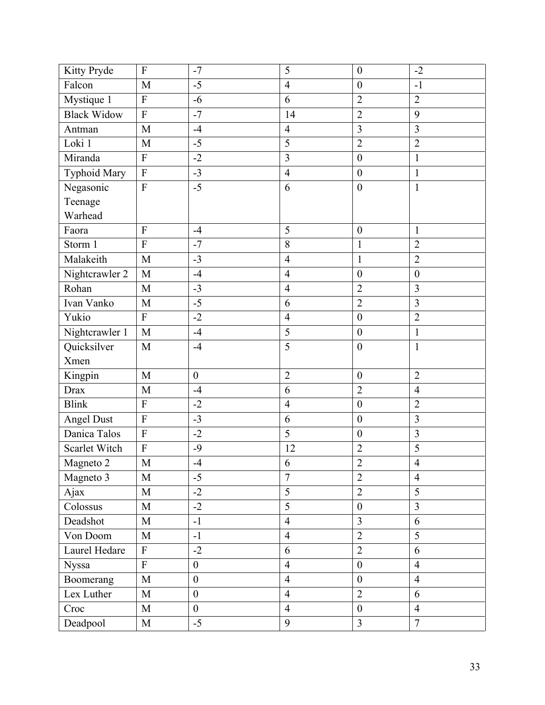| Kitty Pryde         | ${\bf F}$      | $-7$             | 5              | $\boldsymbol{0}$ | $-2$             |
|---------------------|----------------|------------------|----------------|------------------|------------------|
| Falcon              | M              | $-5$             | $\overline{4}$ | $\boldsymbol{0}$ | $-1$             |
| Mystique 1          | $\overline{F}$ | $-6$             | 6              | $\overline{2}$   | $\overline{2}$   |
| <b>Black Widow</b>  | ${\bf F}$      | $-7$             | 14             | $\overline{2}$   | 9                |
| Antman              | M              | $-4$             | $\overline{4}$ | $\overline{3}$   | $\overline{3}$   |
| Loki 1              | M              | $-5$             | $\overline{5}$ | $\overline{2}$   | $\overline{2}$   |
| Miranda             | F              | $-2$             | $\overline{3}$ | $\boldsymbol{0}$ | $\mathbf{1}$     |
| <b>Typhoid Mary</b> | ${\bf F}$      | $-3$             | $\overline{4}$ | $\boldsymbol{0}$ | $\mathbf{1}$     |
| Negasonic           | $\mathbf F$    | $-5$             | 6              | $\boldsymbol{0}$ | $\mathbf{1}$     |
| Teenage             |                |                  |                |                  |                  |
| Warhead             |                |                  |                |                  |                  |
| Faora               | F              | $-4$             | 5              | $\boldsymbol{0}$ | $\mathbf{1}$     |
| Storm 1             | $\overline{F}$ | $-7$             | 8              | $\mathbf{1}$     | $\overline{2}$   |
| Malakeith           | M              | $-3$             | $\overline{4}$ | $\mathbf{1}$     | $\overline{2}$   |
| Nightcrawler 2      | M              | $-4$             | $\overline{4}$ | $\boldsymbol{0}$ | $\boldsymbol{0}$ |
| Rohan               | M              | $-3$             | $\overline{4}$ | $\overline{2}$   | 3                |
| Ivan Vanko          | M              | $-5$             | 6              | $\overline{2}$   | $\overline{3}$   |
| Yukio               | ${\bf F}$      | $-2$             | $\overline{4}$ | $\boldsymbol{0}$ | $\overline{2}$   |
| Nightcrawler 1      | M              | $-4$             | 5              | $\boldsymbol{0}$ | $\mathbf{1}$     |
| Quicksilver         | M              | $-4$             | $\overline{5}$ | $\mathbf{0}$     | $\mathbf{1}$     |
| Xmen                |                |                  |                |                  |                  |
| Kingpin             | M              | $\boldsymbol{0}$ | $\overline{2}$ | $\boldsymbol{0}$ | $\overline{2}$   |
| Drax                | M              | $-4$             | 6              | $\overline{2}$   | $\overline{4}$   |
| <b>Blink</b>        | $\overline{F}$ | $-2$             | $\overline{4}$ | $\boldsymbol{0}$ | $\overline{2}$   |
| Angel Dust          | ${\bf F}$      | $-3$             | 6              | $\boldsymbol{0}$ | 3                |
| Danica Talos        | ${\bf F}$      | $-2$             | 5              | $\boldsymbol{0}$ | 3                |
| Scarlet Witch       | $\overline{F}$ | $-9$             | 12             | $\overline{2}$   | $\overline{5}$   |
| Magneto 2           | $\mathbf M$    | $-4$             | 6              | $\sqrt{2}$       | $\overline{4}$   |
| Magneto 3           | M              | $-5$             | $\overline{7}$ | $\overline{2}$   | $\overline{4}$   |
| Ajax                | M              | $-2$             | 5              | $\overline{2}$   | 5                |
| Colossus            | M              | $-2$             | $\overline{5}$ | $\boldsymbol{0}$ | $\overline{3}$   |
| Deadshot            | M              | $-1$             | $\overline{4}$ | $\overline{3}$   | 6                |
| Von Doom            | M              | $-1$             | $\overline{4}$ | $\overline{2}$   | 5                |
| Laurel Hedare       | ${\bf F}$      | $-2$             | 6              | $\overline{2}$   | 6                |
| Nyssa               | $\overline{F}$ | $\overline{0}$   | $\overline{4}$ | $\overline{0}$   | $\overline{4}$   |
| Boomerang           | M              | $\boldsymbol{0}$ | $\overline{4}$ | $\boldsymbol{0}$ | $\overline{4}$   |
| Lex Luther          | M              | $\boldsymbol{0}$ | $\overline{4}$ | $\overline{2}$   | 6                |
| Croc                | M              | $\overline{0}$   | $\overline{4}$ | $\boldsymbol{0}$ | $\overline{4}$   |
| Deadpool            | M              | $-5$             | 9              | $\overline{3}$   | $\overline{7}$   |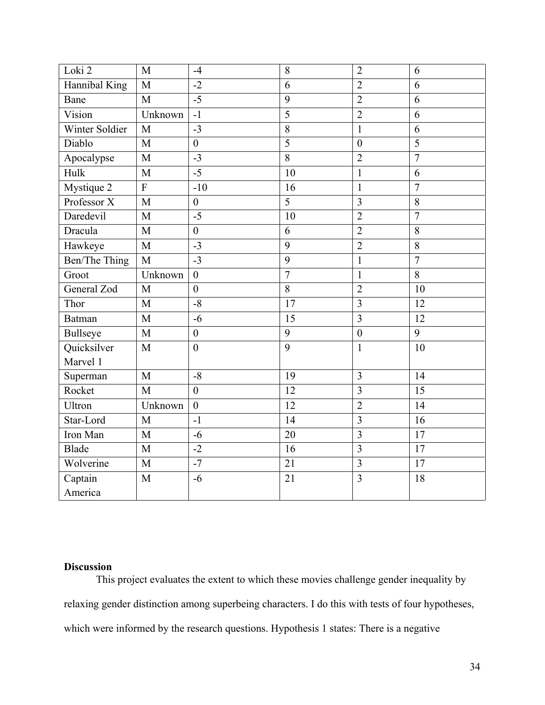| Loki <sub>2</sub> | $\overline{M}$ | $-4$             | 8              | $\overline{2}$          | 6               |
|-------------------|----------------|------------------|----------------|-------------------------|-----------------|
| Hannibal King     | $\overline{M}$ | $-2$             | 6              | $\overline{2}$          | 6               |
| Bane              | M              | $-5$             | 9              | $\overline{2}$          | 6               |
| Vision            | Unknown        | $-1$             | $\overline{5}$ | $\overline{2}$          | 6               |
| Winter Soldier    | M              | $-3$             | 8              | $\mathbf{1}$            | 6               |
| Diablo            | M              | $\boldsymbol{0}$ | $\overline{5}$ | $\mathbf{0}$            | $\overline{5}$  |
| Apocalypse        | M              | $-3$             | $\overline{8}$ | $\overline{2}$          | $\overline{7}$  |
| Hulk              | M              | $-5$             | 10             | $\mathbf{1}$            | 6               |
| Mystique 2        | $\mathbf{F}$   | $-10$            | 16             | $\mathbf{1}$            | $\overline{7}$  |
| Professor X       | M              | $\boldsymbol{0}$ | 5              | $\overline{3}$          | 8               |
| Daredevil         | M              | $-5$             | 10             | $\overline{2}$          | $\overline{7}$  |
| Dracula           | $\overline{M}$ | $\mathbf{0}$     | 6              | $\overline{2}$          | 8               |
| Hawkeye           | M              | $-3$             | 9              | $\overline{2}$          | 8               |
| Ben/The Thing     | $\overline{M}$ | $-3$             | 9              | $\mathbf{1}$            | $\overline{7}$  |
| Groot             | Unknown        | $\boldsymbol{0}$ | $\overline{7}$ | $\mathbf{1}$            | 8               |
| General Zod       | M              | $\mathbf{0}$     | $\overline{8}$ | $\overline{2}$          | 10              |
| Thor              | M              | $-8$             | 17             | $\overline{3}$          | 12              |
| <b>Batman</b>     | M              | $-6$             | 15             | $\overline{3}$          | 12              |
| <b>Bullseye</b>   | M              | $\boldsymbol{0}$ | 9              | $\boldsymbol{0}$        | 9               |
| Quicksilver       | M              | $\boldsymbol{0}$ | 9              | $\mathbf{1}$            | 10              |
| Marvel 1          |                |                  |                |                         |                 |
| Superman          | M              | $-8$             | 19             | 3                       | 14              |
| Rocket            | M              | $\boldsymbol{0}$ | 12             | $\overline{3}$          | 15              |
| Ultron            | Unknown        | $\boldsymbol{0}$ | 12             | $\overline{2}$          | 14              |
| Star-Lord         | M              | $-1$             | 14             | $\overline{3}$          | 16              |
| Iron Man          | M              | $-6$             | 20             | 3                       | 17              |
| Blade             | M              | $-2$             | 16             | $\overline{\mathbf{3}}$ | $\overline{17}$ |
| Wolverine         | M              | $-7$             | 21             | $\overline{\mathbf{3}}$ | 17              |
| Captain           | M              | $-6$             | 21             | $\overline{3}$          | 18              |
| America           |                |                  |                |                         |                 |

## **Discussion**

This project evaluates the extent to which these movies challenge gender inequality by relaxing gender distinction among superbeing characters. I do this with tests of four hypotheses, which were informed by the research questions. Hypothesis 1 states: There is a negative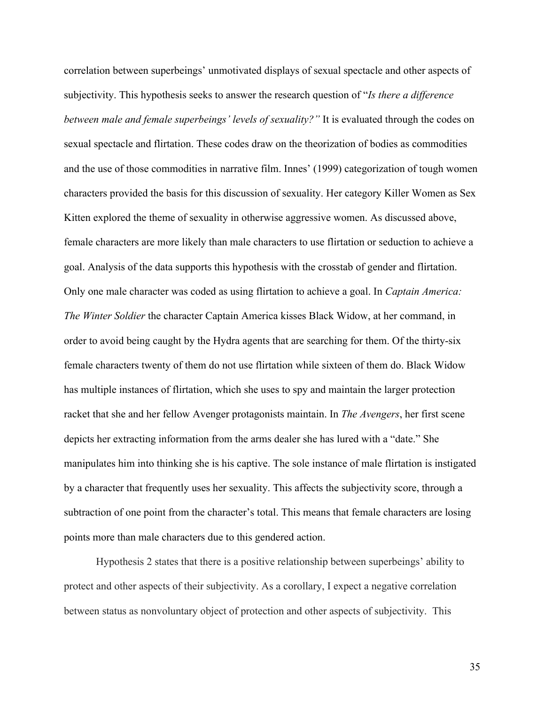correlation between superbeings' unmotivated displays of sexual spectacle and other aspects of subjectivity. This hypothesis seeks to answer the research question of "*Is there a difference between male and female superbeings' levels of sexuality?"* It is evaluated through the codes on sexual spectacle and flirtation. These codes draw on the theorization of bodies as commodities and the use of those commodities in narrative film. Innes' (1999) categorization of tough women characters provided the basis for this discussion of sexuality. Her category Killer Women as Sex Kitten explored the theme of sexuality in otherwise aggressive women. As discussed above, female characters are more likely than male characters to use flirtation or seduction to achieve a goal. Analysis of the data supports this hypothesis with the crosstab of gender and flirtation. Only one male character was coded as using flirtation to achieve a goal. In *Captain America: The Winter Soldier* the character Captain America kisses Black Widow, at her command, in order to avoid being caught by the Hydra agents that are searching for them. Of the thirty-six female characters twenty of them do not use flirtation while sixteen of them do. Black Widow has multiple instances of flirtation, which she uses to spy and maintain the larger protection racket that she and her fellow Avenger protagonists maintain. In *The Avengers*, her first scene depicts her extracting information from the arms dealer she has lured with a "date." She manipulates him into thinking she is his captive. The sole instance of male flirtation is instigated by a character that frequently uses her sexuality. This affects the subjectivity score, through a subtraction of one point from the character's total. This means that female characters are losing points more than male characters due to this gendered action.

Hypothesis 2 states that there is a positive relationship between superbeings' ability to protect and other aspects of their subjectivity. As a corollary, I expect a negative correlation between status as nonvoluntary object of protection and other aspects of subjectivity. This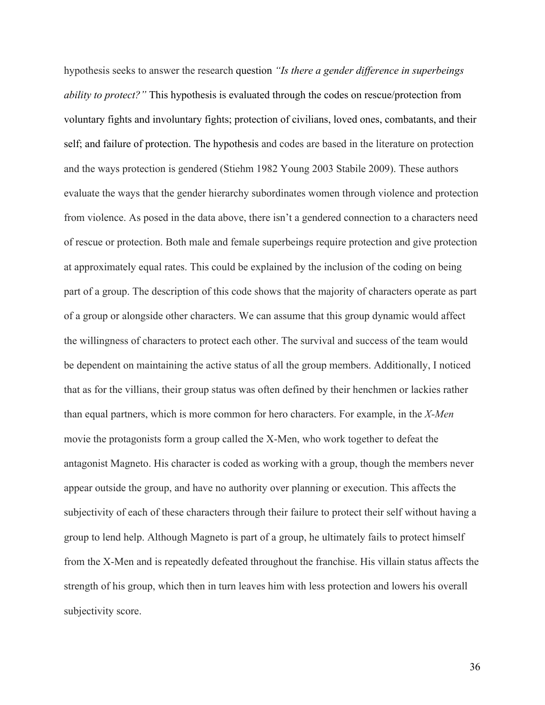hypothesis seeks to answer the research question *"Is there a gender difference in superbeings ability to protect?"* This hypothesis is evaluated through the codes on rescue/protection from voluntary fights and involuntary fights; protection of civilians, loved ones, combatants, and their self; and failure of protection. The hypothesis and codes are based in the literature on protection and the ways protection is gendered (Stiehm 1982 Young 2003 Stabile 2009). These authors evaluate the ways that the gender hierarchy subordinates women through violence and protection from violence. As posed in the data above, there isn't a gendered connection to a characters need of rescue or protection. Both male and female superbeings require protection and give protection at approximately equal rates. This could be explained by the inclusion of the coding on being part of a group. The description of this code shows that the majority of characters operate as part of a group or alongside other characters. We can assume that this group dynamic would affect the willingness of characters to protect each other. The survival and success of the team would be dependent on maintaining the active status of all the group members. Additionally, I noticed that as for the villians, their group status was often defined by their henchmen or lackies rather than equal partners, which is more common for hero characters. For example, in the *X-Men* movie the protagonists form a group called the X-Men, who work together to defeat the antagonist Magneto. His character is coded as working with a group, though the members never appear outside the group, and have no authority over planning or execution. This affects the subjectivity of each of these characters through their failure to protect their self without having a group to lend help. Although Magneto is part of a group, he ultimately fails to protect himself from the X-Men and is repeatedly defeated throughout the franchise. His villain status affects the strength of his group, which then in turn leaves him with less protection and lowers his overall subjectivity score.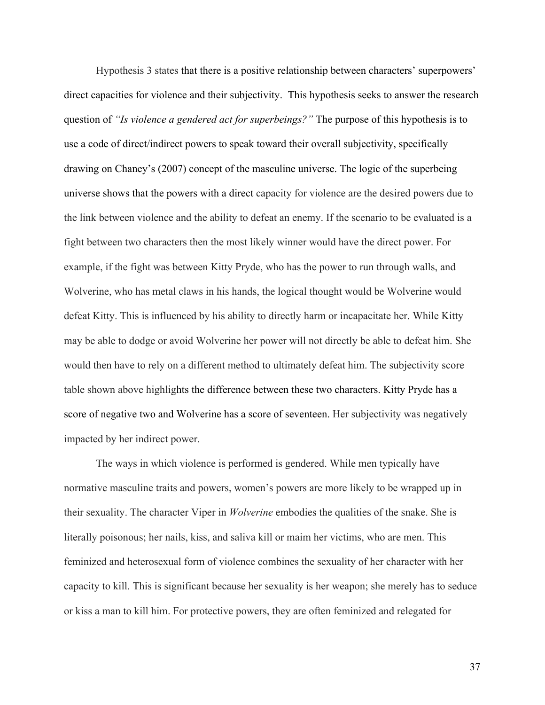Hypothesis 3 states that there is a positive relationship between characters' superpowers' direct capacities for violence and their subjectivity. This hypothesis seeks to answer the research question of *"Is violence a gendered act for superbeings?"* The purpose of this hypothesis is to use a code of direct/indirect powers to speak toward their overall subjectivity, specifically drawing on Chaney's (2007) concept of the masculine universe. The logic of the superbeing universe shows that the powers with a direct capacity for violence are the desired powers due to the link between violence and the ability to defeat an enemy. If the scenario to be evaluated is a fight between two characters then the most likely winner would have the direct power. For example, if the fight was between Kitty Pryde, who has the power to run through walls, and Wolverine, who has metal claws in his hands, the logical thought would be Wolverine would defeat Kitty. This is influenced by his ability to directly harm or incapacitate her. While Kitty may be able to dodge or avoid Wolverine her power will not directly be able to defeat him. She would then have to rely on a different method to ultimately defeat him. The subjectivity score table shown above highlights the difference between these two characters. Kitty Pryde has a score of negative two and Wolverine has a score of seventeen. Her subjectivity was negatively impacted by her indirect power.

The ways in which violence is performed is gendered. While men typically have normative masculine traits and powers, women's powers are more likely to be wrapped up in their sexuality. The character Viper in *Wolverine* embodies the qualities of the snake. She is literally poisonous; her nails, kiss, and saliva kill or maim her victims, who are men. This feminized and heterosexual form of violence combines the sexuality of her character with her capacity to kill. This is significant because her sexuality is her weapon; she merely has to seduce or kiss a man to kill him. For protective powers, they are often feminized and relegated for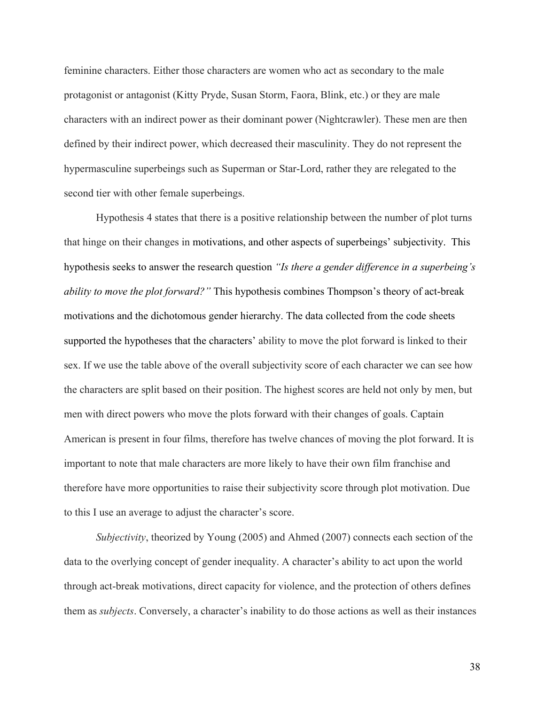feminine characters. Either those characters are women who act as secondary to the male protagonist or antagonist (Kitty Pryde, Susan Storm, Faora, Blink, etc.) or they are male characters with an indirect power as their dominant power (Nightcrawler). These men are then defined by their indirect power, which decreased their masculinity. They do not represent the hypermasculine superbeings such as Superman or Star-Lord, rather they are relegated to the second tier with other female superbeings.

Hypothesis 4 states that there is a positive relationship between the number of plot turns that hinge on their changes in motivations, and other aspects of superbeings' subjectivity. This hypothesis seeks to answer the research question *"Is there a gender difference in a superbeing's ability to move the plot forward?"* This hypothesis combines Thompson's theory of act-break motivations and the dichotomous gender hierarchy. The data collected from the code sheets supported the hypotheses that the characters' ability to move the plot forward is linked to their sex. If we use the table above of the overall subjectivity score of each character we can see how the characters are split based on their position. The highest scores are held not only by men, but men with direct powers who move the plots forward with their changes of goals. Captain American is present in four films, therefore has twelve chances of moving the plot forward. It is important to note that male characters are more likely to have their own film franchise and therefore have more opportunities to raise their subjectivity score through plot motivation. Due to this I use an average to adjust the character's score.

*Subjectivity*, theorized by Young (2005) and Ahmed (2007) connects each section of the data to the overlying concept of gender inequality. A character's ability to act upon the world through act-break motivations, direct capacity for violence, and the protection of others defines them as *subjects*. Conversely, a character's inability to do those actions as well as their instances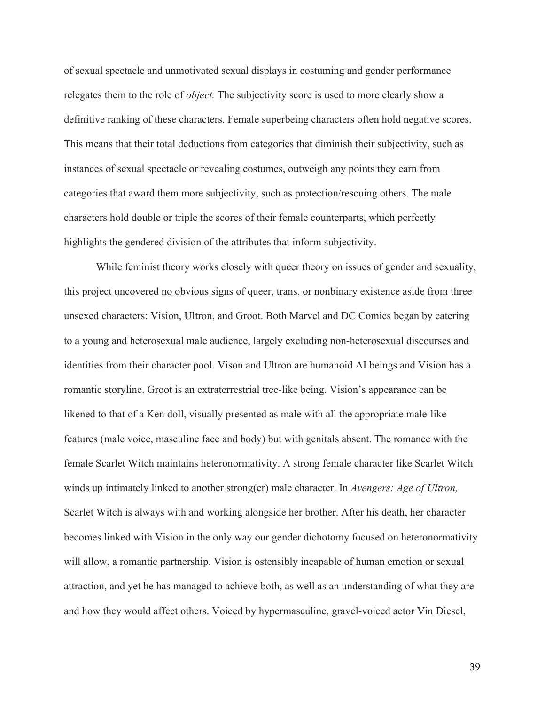of sexual spectacle and unmotivated sexual displays in costuming and gender performance relegates them to the role of *object.* The subjectivity score is used to more clearly show a definitive ranking of these characters. Female superbeing characters often hold negative scores. This means that their total deductions from categories that diminish their subjectivity, such as instances of sexual spectacle or revealing costumes, outweigh any points they earn from categories that award them more subjectivity, such as protection/rescuing others. The male characters hold double or triple the scores of their female counterparts, which perfectly highlights the gendered division of the attributes that inform subjectivity.

While feminist theory works closely with queer theory on issues of gender and sexuality, this project uncovered no obvious signs of queer, trans, or nonbinary existence aside from three unsexed characters: Vision, Ultron, and Groot. Both Marvel and DC Comics began by catering to a young and heterosexual male audience, largely excluding non-heterosexual discourses and identities from their character pool. Vison and Ultron are humanoid AI beings and Vision has a romantic storyline. Groot is an extraterrestrial tree-like being. Vision's appearance can be likened to that of a Ken doll, visually presented as male with all the appropriate male-like features (male voice, masculine face and body) but with genitals absent. The romance with the female Scarlet Witch maintains heteronormativity. A strong female character like Scarlet Witch winds up intimately linked to another strong(er) male character. In *Avengers: Age of Ultron,* Scarlet Witch is always with and working alongside her brother. After his death, her character becomes linked with Vision in the only way our gender dichotomy focused on heteronormativity will allow, a romantic partnership. Vision is ostensibly incapable of human emotion or sexual attraction, and yet he has managed to achieve both, as well as an understanding of what they are and how they would affect others. Voiced by hypermasculine, gravel-voiced actor Vin Diesel,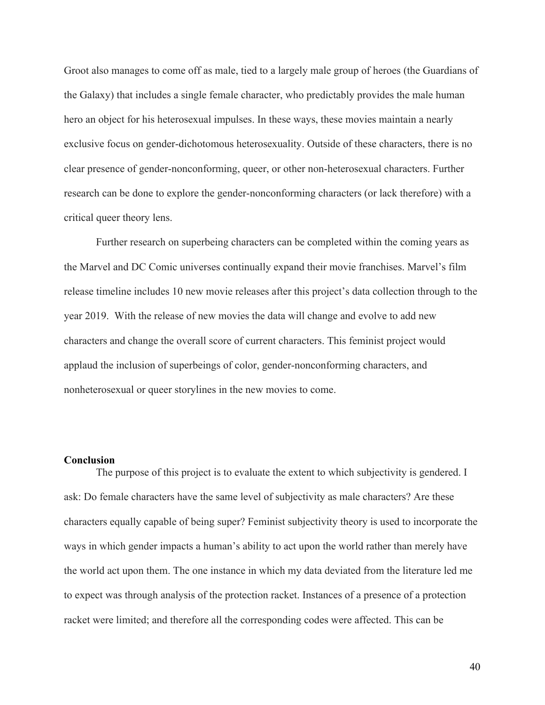Groot also manages to come off as male, tied to a largely male group of heroes (the Guardians of the Galaxy) that includes a single female character, who predictably provides the male human hero an object for his heterosexual impulses. In these ways, these movies maintain a nearly exclusive focus on gender-dichotomous heterosexuality. Outside of these characters, there is no clear presence of gender-nonconforming, queer, or other non-heterosexual characters. Further research can be done to explore the gender-nonconforming characters (or lack therefore) with a critical queer theory lens.

Further research on superbeing characters can be completed within the coming years as the Marvel and DC Comic universes continually expand their movie franchises. Marvel's film release timeline includes 10 new movie releases after this project's data collection through to the year 2019. With the release of new movies the data will change and evolve to add new characters and change the overall score of current characters. This feminist project would applaud the inclusion of superbeings of color, gender-nonconforming characters, and nonheterosexual or queer storylines in the new movies to come.

## **Conclusion**

The purpose of this project is to evaluate the extent to which subjectivity is gendered. I ask: Do female characters have the same level of subjectivity as male characters? Are these characters equally capable of being super? Feminist subjectivity theory is used to incorporate the ways in which gender impacts a human's ability to act upon the world rather than merely have the world act upon them. The one instance in which my data deviated from the literature led me to expect was through analysis of the protection racket. Instances of a presence of a protection racket were limited; and therefore all the corresponding codes were affected. This can be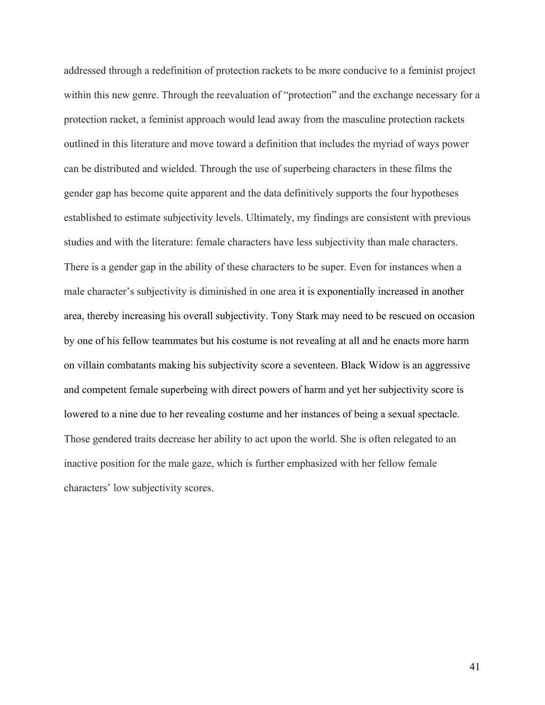addressed through a redefinition of protection rackets to be more conducive to a feminist project within this new genre. Through the reevaluation of "protection" and the exchange necessary for a protection racket, a feminist approach would lead away from the masculine protection rackets outlined in this literature and move toward a definition that includes the myriad of ways power can be distributed and wielded. Through the use of superbeing characters in these films the gender gap has become quite apparent and the data definitively supports the four hypotheses established to estimate subjectivity levels. Ultimately, my findings are consistent with previous studies and with the literature: female characters have less subjectivity than male characters. There is a gender gap in the ability of these characters to be super. Even for instances when a male character's subjectivity is diminished in one area it is exponentially increased in another area, thereby increasing his overall subjectivity. Tony Stark may need to be rescued on occasion by one of his fellow teammates but his costume is not revealing at all and he enacts more harm on villain combatants making his subjectivity score a seventeen. Black Widow is an aggressive and competent female superbeing with direct powers of harm and yet her subjectivity score is lowered to a nine due to her revealing costume and her instances of being a sexual spectacle. Those gendered traits decrease her ability to act upon the world. She is often relegated to an inactive position for the male gaze, which is further emphasized with her fellow female characters' low subjectivity scores.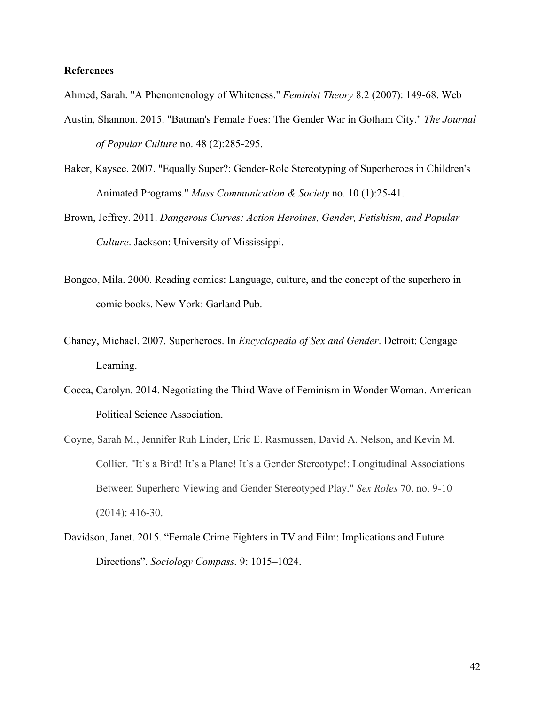### **References**

Ahmed, Sarah. "A Phenomenology of Whiteness." *Feminist Theory* 8.2 (2007): 149-68. Web

- Austin, Shannon. 2015. "Batman's Female Foes: The Gender War in Gotham City." *The Journal of Popular Culture* no. 48 (2):285-295.
- Baker, Kaysee. 2007. "Equally Super?: Gender-Role Stereotyping of Superheroes in Children's Animated Programs." *Mass Communication & Society* no. 10 (1):25-41.
- Brown, Jeffrey. 2011. *Dangerous Curves: Action Heroines, Gender, Fetishism, and Popular Culture*. Jackson: University of Mississippi.
- Bongco, Mila. 2000. Reading comics: Language, culture, and the concept of the superhero in comic books. New York: Garland Pub.
- Chaney, Michael. 2007. Superheroes. In *Encyclopedia of Sex and Gender*. Detroit: Cengage Learning.
- Cocca, Carolyn. 2014. Negotiating the Third Wave of Feminism in Wonder Woman. American Political Science Association.
- Coyne, Sarah M., Jennifer Ruh Linder, Eric E. Rasmussen, David A. Nelson, and Kevin M. Collier. "It's a Bird! It's a Plane! It's a Gender Stereotype!: Longitudinal Associations Between Superhero Viewing and Gender Stereotyped Play." *Sex Roles* 70, no. 9-10 (2014): 416-30.
- Davidson, Janet. 2015. "Female Crime Fighters in TV and Film: Implications and Future Directions". *Sociology Compass.* 9: 1015–1024.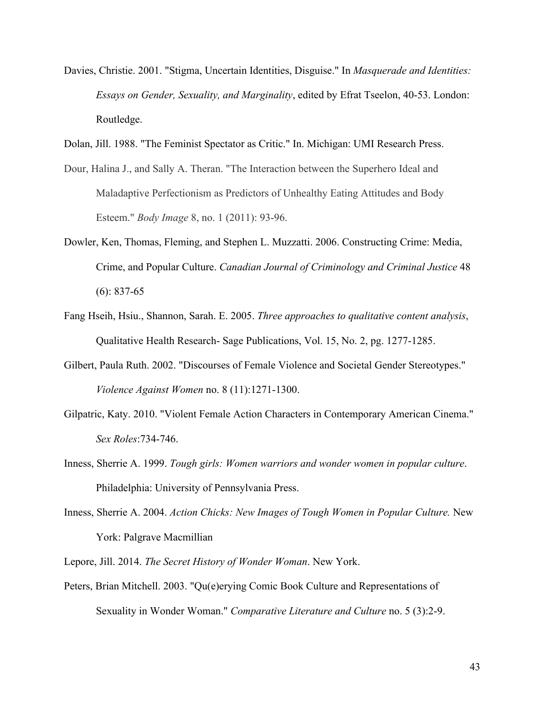- Davies, Christie. 2001. "Stigma, Uncertain Identities, Disguise." In *Masquerade and Identities: Essays on Gender, Sexuality, and Marginality*, edited by Efrat Tseelon, 40-53. London: Routledge.
- Dolan, Jill. 1988. "The Feminist Spectator as Critic." In. Michigan: UMI Research Press.
- Dour, Halina J., and Sally A. Theran. "The Interaction between the Superhero Ideal and Maladaptive Perfectionism as Predictors of Unhealthy Eating Attitudes and Body Esteem." *Body Image* 8, no. 1 (2011): 93-96.
- Dowler, Ken, Thomas, Fleming, and Stephen L. Muzzatti. 2006. Constructing Crime: Media, Crime, and Popular Culture. *Canadian Journal of Criminology and Criminal Justice* 48 (6): 837-65
- Fang Hseih, Hsiu., Shannon, Sarah. E. 2005. *Three approaches to qualitative content analysis*, Qualitative Health Research- Sage Publications, Vol. 15, No. 2, pg. 1277-1285.
- Gilbert, Paula Ruth. 2002. "Discourses of Female Violence and Societal Gender Stereotypes." *Violence Against Women* no. 8 (11):1271-1300.
- Gilpatric, Katy. 2010. "Violent Female Action Characters in Contemporary American Cinema." *Sex Roles*:734-746.
- Inness, Sherrie A. 1999. *Tough girls: Women warriors and wonder women in popular culture*. Philadelphia: University of Pennsylvania Press.
- Inness, Sherrie A. 2004. *Action Chicks: New Images of Tough Women in Popular Culture.* New York: Palgrave Macmillian
- Lepore, Jill. 2014. *The Secret History of Wonder Woman*. New York.
- Peters, Brian Mitchell. 2003. "Qu(e)erying Comic Book Culture and Representations of Sexuality in Wonder Woman." *Comparative Literature and Culture* no. 5 (3):2-9.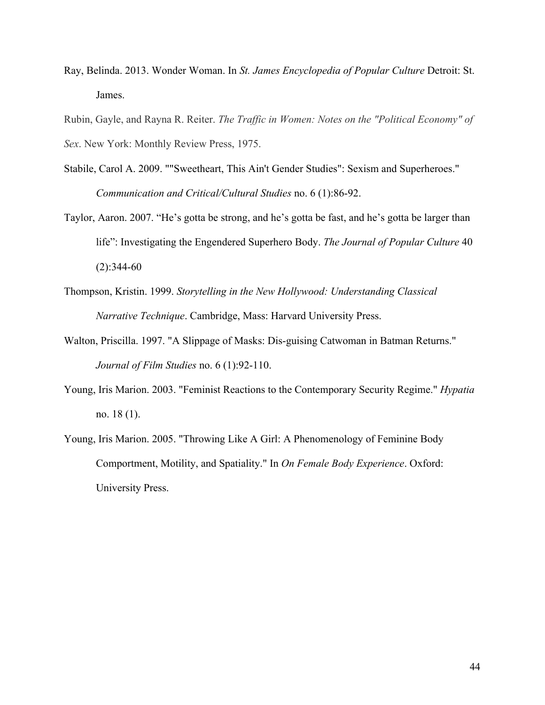Ray, Belinda. 2013. Wonder Woman. In *St. James Encyclopedia of Popular Culture* Detroit: St. James.

Rubin, Gayle, and Rayna R. Reiter. *The Traffic in Women: Notes on the "Political Economy" of Sex*. New York: Monthly Review Press, 1975.

- Stabile, Carol A. 2009. ""Sweetheart, This Ain't Gender Studies": Sexism and Superheroes." *Communication and Critical/Cultural Studies* no. 6 (1):86-92.
- Taylor, Aaron. 2007. "He's gotta be strong, and he's gotta be fast, and he's gotta be larger than life": Investigating the Engendered Superhero Body. *The Journal of Popular Culture* 40  $(2):344-60$
- Thompson, Kristin. 1999. *Storytelling in the New Hollywood: Understanding Classical Narrative Technique*. Cambridge, Mass: Harvard University Press.
- Walton, Priscilla. 1997. "A Slippage of Masks: Dis-guising Catwoman in Batman Returns." *Journal of Film Studies* no. 6 (1):92-110.
- Young, Iris Marion. 2003. "Feminist Reactions to the Contemporary Security Regime." *Hypatia* no. 18 (1).
- Young, Iris Marion. 2005. "Throwing Like A Girl: A Phenomenology of Feminine Body Comportment, Motility, and Spatiality." In *On Female Body Experience*. Oxford: University Press.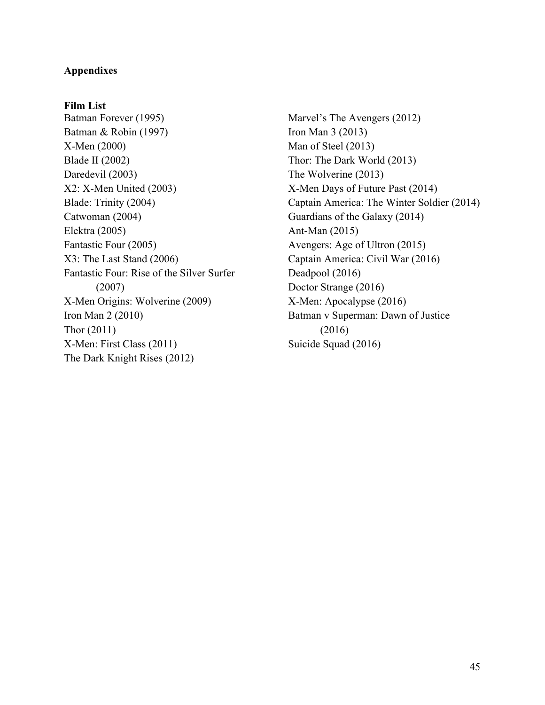## **Appendixes**

## **Film List**

Batman Forever (1995) Batman & Robin (1997) X-Men (2000) Blade II (2002) Daredevil (2003) X2: X-Men United (2003) Blade: Trinity (2004) Catwoman (2004) Elektra (2005) Fantastic Four (2005) X3: The Last Stand (2006) Fantastic Four: Rise of the Silver Surfer (2007) X-Men Origins: Wolverine (2009) Iron Man 2 (2010) Thor (2011) X-Men: First Class (2011) The Dark Knight Rises (2012)

Marvel's The Avengers (2012) Iron Man 3 (2013) Man of Steel (2013) Thor: The Dark World (2013) The Wolverine (2013) X-Men Days of Future Past (2014) Captain America: The Winter Soldier (2014) Guardians of the Galaxy (2014) Ant-Man (2015) Avengers: Age of Ultron (2015) Captain America: Civil War (2016) Deadpool (2016) Doctor Strange (2016) X-Men: Apocalypse (2016) Batman v Superman: Dawn of Justice (2016) Suicide Squad (2016)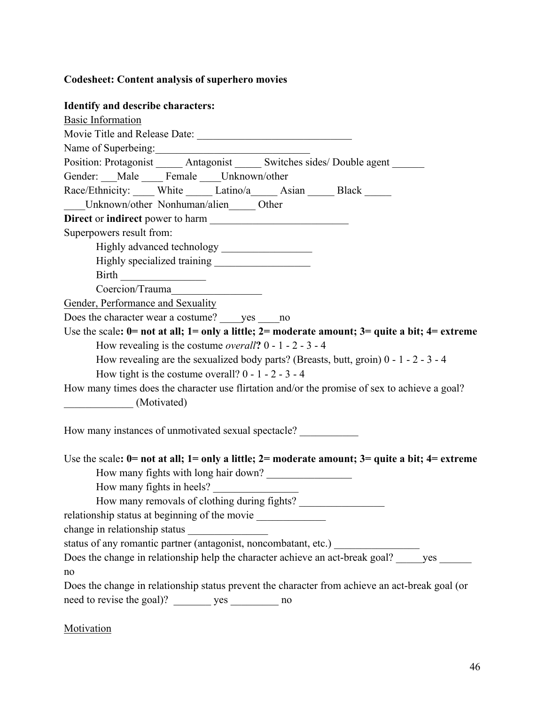# **Codesheet: Content analysis of superhero movies**

# **Identify and describe characters:**

| rachtny and describe enaracters.                                                                              |
|---------------------------------------------------------------------------------------------------------------|
| <b>Basic Information</b>                                                                                      |
|                                                                                                               |
| Name of Superbeing:                                                                                           |
| Position: Protagonist ______ Antagonist ______ Switches sides/ Double agent ______                            |
| Gender: __Male ___ Female ___Unknown/other                                                                    |
| Race/Ethnicity: White Latino/a Asian Black ____                                                               |
| Unknown/other Nonhuman/alien Other                                                                            |
|                                                                                                               |
| Superpowers result from:                                                                                      |
|                                                                                                               |
|                                                                                                               |
| Birth                                                                                                         |
| Coercion/Trauma                                                                                               |
| Gender, Performance and Sexuality                                                                             |
| Does the character wear a costume? yes no                                                                     |
| Use the scale: $0$ = not at all; $1$ = only a little; $2$ = moderate amount; $3$ = quite a bit; $4$ = extreme |
| How revealing is the costume <i>overall</i> ? $0 - 1 - 2 - 3 - 4$                                             |
| How revealing are the sexualized body parts? (Breasts, butt, groin) $0 - 1 - 2 - 3 - 4$                       |
| How tight is the costume overall? $0 - 1 - 2 - 3 - 4$                                                         |
| How many times does the character use flirtation and/or the promise of sex to achieve a goal?                 |
| (Motivated)                                                                                                   |
|                                                                                                               |
| How many instances of unmotivated sexual spectacle?                                                           |
|                                                                                                               |
| Use the scale: $0=$ not at all; $1=$ only a little; $2=$ moderate amount; $3=$ quite a bit; $4=$ extreme      |
| How many fights with long hair down?                                                                          |
| How many fights in heels?                                                                                     |
| How many removals of clothing during fights?                                                                  |
| relationship status at beginning of the movie ___________________________________                             |
| change in relationship status                                                                                 |
| status of any romantic partner (antagonist, noncombatant, etc.) ________________                              |
| Does the change in relationship help the character achieve an act-break goal? _____ yes ______                |
| no                                                                                                            |
| Does the change in relationship status prevent the character from achieve an act-break goal (or               |
| need to revise the goal)? _________ yes ___________ no                                                        |
|                                                                                                               |
|                                                                                                               |

# **Motivation**